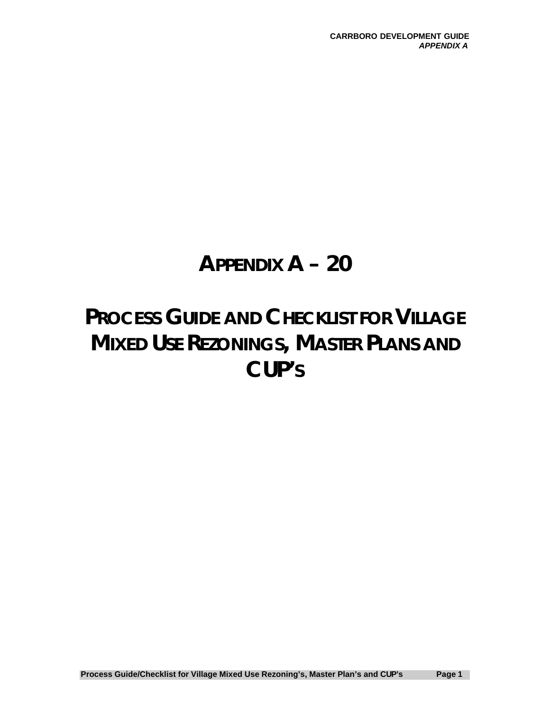# **APPENDIX A – 20**

# **PROCESS GUIDE AND CHECKLIST FOR VILLAGE MIXED USE REZONINGS, MASTER PLANS AND CUP'S**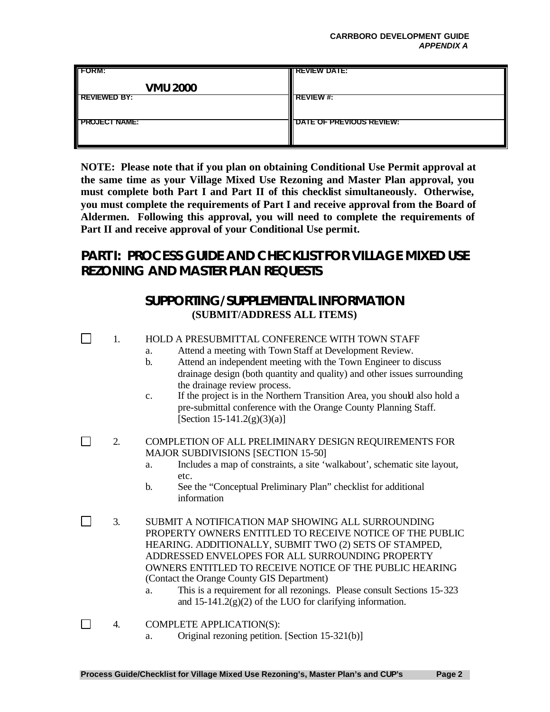#### **CARRBORO DEVELOPMENT GUIDE** *APPENDIX A*

| <b>FORM:</b>         | <b>IN REVIEW DATE:</b>          |
|----------------------|---------------------------------|
| <b>VMU 2000</b>      |                                 |
| <b>REVIEWED BY:</b>  | <b>REVIEW#:</b>                 |
| <b>FROJECT NAME:</b> | <b>DATE OF PREVIOUS REVIEW:</b> |

**NOTE: Please note that if you plan on obtaining Conditional Use Permit approval at the same time as your Village Mixed Use Rezoning and Master Plan approval, you must complete both Part I and Part II of this checklist simultaneously. Otherwise, you must complete the requirements of Part I and receive approval from the Board of Aldermen. Following this approval, you will need to complete the requirements of Part II and receive approval of your Conditional Use permit.**

### **PART I: PROCESS GUIDE AND CHECKLIST FOR VILLAGE MIXED USE REZONING AND MASTER PLAN REQUESTS**

### **SUPPORTING/SUPPLEMENTAL INFORMATION (SUBMIT/ADDRESS ALL ITEMS)**

- $\Box$ 1. HOLD A PRESUBMITTAL CONFERENCE WITH TOWN STAFF
	- a. Attend a meeting with Town Staff at Development Review.
	- b. Attend an independent meeting with the Town Engineer to discuss drainage design (both quantity and quality) and other issues surrounding the drainage review process.
	- c. If the project is in the Northern Transition Area, you should also hold a pre-submittal conference with the Orange County Planning Staff.  $[Section 15-141.2(g)(3)(a)]$
- $\Box$ 2. COMPLETION OF ALL PRELIMINARY DESIGN REQUIREMENTS FOR MAJOR SUBDIVISIONS [SECTION 15-50]
	- a. Includes a map of constraints, a site 'walkabout', schematic site layout, etc.
	- b. See the "Conceptual Preliminary Plan" checklist for additional information
- $\Box$ 3. SUBMIT A NOTIFICATION MAP SHOWING ALL SURROUNDING PROPERTY OWNERS ENTITLED TO RECEIVE NOTICE OF THE PUBLIC HEARING. ADDITIONALLY, SUBMIT TWO (2) SETS OF STAMPED, ADDRESSED ENVELOPES FOR ALL SURROUNDING PROPERTY OWNERS ENTITLED TO RECEIVE NOTICE OF THE PUBLIC HEARING (Contact the Orange County GIS Department)
	- a. This is a requirement for all rezonings. Please consult Sections 15-323 and 15-141.2(g)(2) of the LUO for clarifying information.
- $\Box$ 4. COMPLETE APPLICATION(S):
	- a. Original rezoning petition. [Section 15-321(b)]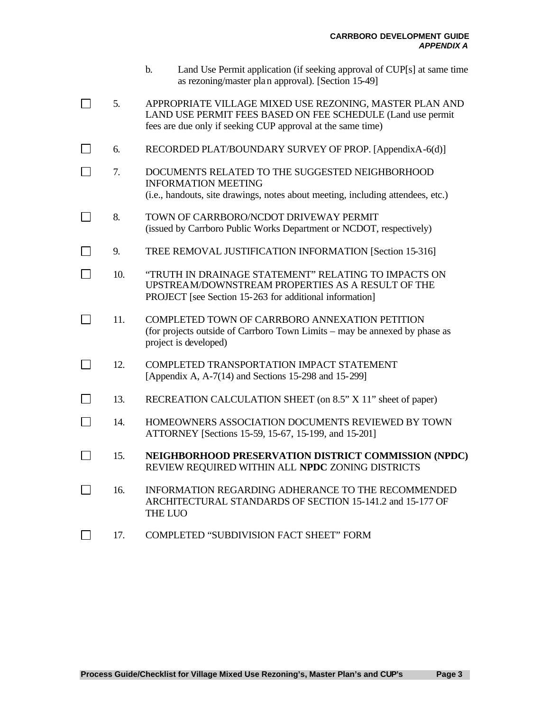- b. Land Use Permit application (if seeking approval of CUP[s] at same time as rezoning/master plan approval). [Section 15-49]
- $\Box$ 5. APPROPRIATE VILLAGE MIXED USE REZONING, MASTER PLAN AND LAND USE PERMIT FEES BASED ON FEE SCHEDULE (Land use permit fees are due only if seeking CUP approval at the same time)
- $\Box$ 6. RECORDED PLAT/BOUNDARY SURVEY OF PROP. [AppendixA-6(d)]
- П 7. DOCUMENTS RELATED TO THE SUGGESTED NEIGHBORHOOD INFORMATION MEETING (i.e., handouts, site drawings, notes about meeting, including attendees, etc.)
- $\Box$ 8. TOWN OF CARRBORO/NCDOT DRIVEWAY PERMIT (issued by Carrboro Public Works Department or NCDOT, respectively)
- $\Box$ 9. TREE REMOVAL JUSTIFICATION INFORMATION [Section 15-316]
- $\Box$ 10. "TRUTH IN DRAINAGE STATEMENT" RELATING TO IMPACTS ON UPSTREAM/DOWNSTREAM PROPERTIES AS A RESULT OF THE PROJECT [see Section 15-263 for additional information]
- $\Box$ 11. COMPLETED TOWN OF CARRBORO ANNEXATION PETITION (for projects outside of Carrboro Town Limits – may be annexed by phase as project is developed)
- $\Box$ 12. COMPLETED TRANSPORTATION IMPACT STATEMENT [Appendix A, A-7(14) and Sections 15-298 and 15-299]
- $\Box$ 13. RECREATION CALCULATION SHEET (on 8.5" X 11" sheet of paper)
- $\Box$ 14. HOMEOWNERS ASSOCIATION DOCUMENTS REVIEWED BY TOWN ATTORNEY [Sections 15-59, 15-67, 15-199, and 15-201]
- $\Box$ 15. **NEIGHBORHOOD PRESERVATION DISTRICT COMMISSION (NPDC)** REVIEW REQUIRED WITHIN ALL **NPDC** ZONING DISTRICTS
- $\Box$ 16. INFORMATION REGARDING ADHERANCE TO THE RECOMMENDED ARCHITECTURAL STANDARDS OF SECTION 15-141.2 and 15-177 OF THE LUO
- $\Box$ 17. COMPLETED "SUBDIVISION FACT SHEET" FORM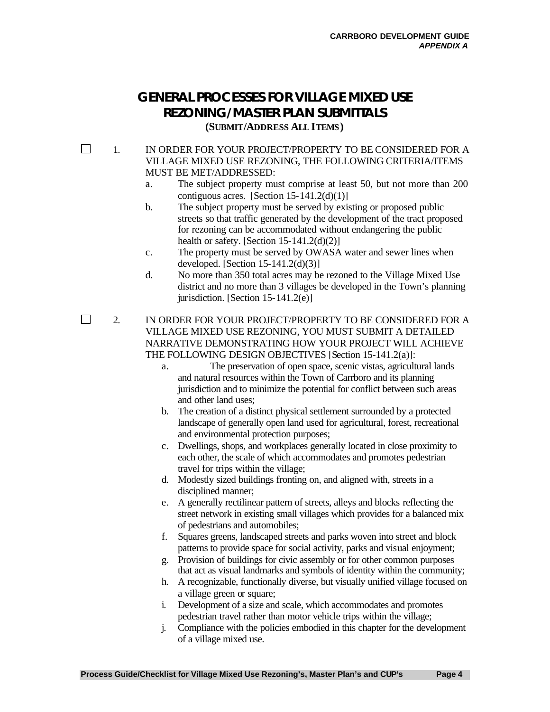### **GENERAL PROCESSES FOR VILLAGE MIXED USE REZONING/MASTER PLAN SUBMITTALS (SUBMIT/ADDRESS ALL ITEMS)**

 $\Box$ 

 $\Box$ 

#### 1. IN ORDER FOR YOUR PROJECT/PROPERTY TO BE CONSIDERED FOR A VILLAGE MIXED USE REZONING, THE FOLLOWING CRITERIA/ITEMS MUST BE MET/ADDRESSED:

- a. The subject property must comprise at least 50, but not more than 200 contiguous acres. [Section  $15-141.2(d)(1)$ ]
- b. The subject property must be served by existing or proposed public streets so that traffic generated by the development of the tract proposed for rezoning can be accommodated without endangering the public health or safety. [Section  $15-141.2(d)(2)$ ]
- c. The property must be served by OWASA water and sewer lines when developed. [Section  $15-141.2(d)(3)$ ]
- d. No more than 350 total acres may be rezoned to the Village Mixed Use district and no more than 3 villages be developed in the Town's planning jurisdiction. [Section  $15-141.2(e)$ ]

2. IN ORDER FOR YOUR PROJECT/PROPERTY TO BE CONSIDERED FOR A VILLAGE MIXED USE REZONING, YOU MUST SUBMIT A DETAILED NARRATIVE DEMONSTRATING HOW YOUR PROJECT WILL ACHIEVE THE FOLLOWING DESIGN OBJECTIVES [Section 15-141.2(a)]:

- a. The preservation of open space, scenic vistas, agricultural lands and natural resources within the Town of Carrboro and its planning jurisdiction and to minimize the potential for conflict between such areas and other land uses;
- b. The creation of a distinct physical settlement surrounded by a protected landscape of generally open land used for agricultural, forest, recreational and environmental protection purposes;
- c. Dwellings, shops, and workplaces generally located in close proximity to each other, the scale of which accommodates and promotes pedestrian travel for trips within the village;
- d. Modestly sized buildings fronting on, and aligned with, streets in a disciplined manner;
- e. A generally rectilinear pattern of streets, alleys and blocks reflecting the street network in existing small villages which provides for a balanced mix of pedestrians and automobiles;
- f. Squares greens, landscaped streets and parks woven into street and block patterns to provide space for social activity, parks and visual enjoyment;
- g. Provision of buildings for civic assembly or for other common purposes that act as visual landmarks and symbols of identity within the community;
- h. A recognizable, functionally diverse, but visually unified village focused on a village green or square;
- i. Development of a size and scale, which accommodates and promotes pedestrian travel rather than motor vehicle trips within the village;
- j. Compliance with the policies embodied in this chapter for the development of a village mixed use.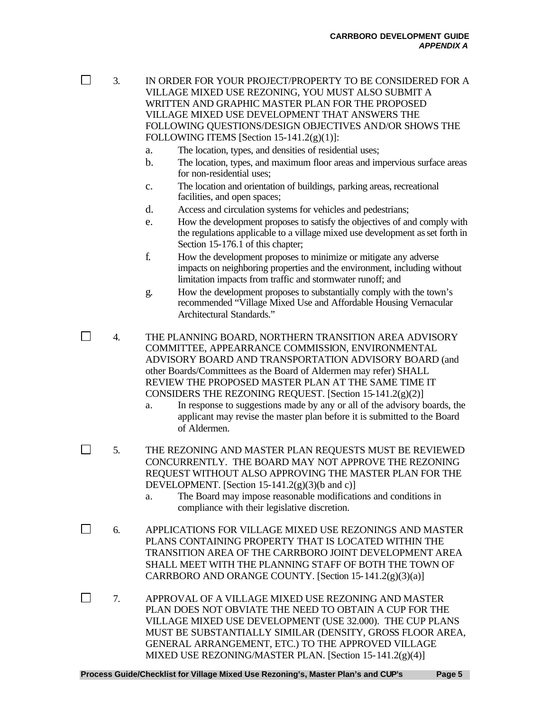$\Box$ 

3. IN ORDER FOR YOUR PROJECT/PROPERTY TO BE CONSIDERED FOR A VILLAGE MIXED USE REZONING, YOU MUST ALSO SUBMIT A WRITTEN AND GRAPHIC MASTER PLAN FOR THE PROPOSED VILLAGE MIXED USE DEVELOPMENT THAT ANSWERS THE FOLLOWING QUESTIONS/DESIGN OBJECTIVES AND/OR SHOWS THE FOLLOWING ITEMS [Section 15-141.2(g)(1)]:

- a. The location, types, and densities of residential uses;
- b. The location, types, and maximum floor areas and impervious surface areas for non-residential uses;
- c. The location and orientation of buildings, parking areas, recreational facilities, and open spaces;
- d. Access and circulation systems for vehicles and pedestrians;
- e. How the development proposes to satisfy the objectives of and comply with the regulations applicable to a village mixed use development as set forth in Section 15-176.1 of this chapter;
- f. How the development proposes to minimize or mitigate any adverse impacts on neighboring properties and the environment, including without limitation impacts from traffic and stormwater runoff; and
- g. How the development proposes to substantially comply with the town's recommended "Village Mixed Use and Affordable Housing Vernacular Architectural Standards."
- $\Box$ 4. THE PLANNING BOARD, NORTHERN TRANSITION AREA ADVISORY COMMITTEE, APPEARRANCE COMMISSION, ENVIRONMENTAL ADVISORY BOARD AND TRANSPORTATION ADVISORY BOARD (and other Boards/Committees as the Board of Aldermen may refer) SHALL REVIEW THE PROPOSED MASTER PLAN AT THE SAME TIME IT CONSIDERS THE REZONING REQUEST. [Section 15-141.2(g)(2)]
	- a. In response to suggestions made by any or all of the advisory boards, the applicant may revise the master plan before it is submitted to the Board of Aldermen.
- $\Box$ 5. THE REZONING AND MASTER PLAN REQUESTS MUST BE REVIEWED CONCURRENTLY. THE BOARD MAY NOT APPROVE THE REZONING REQUEST WITHOUT ALSO APPROVING THE MASTER PLAN FOR THE DEVELOPMENT. [Section  $15-141.2(g)(3)(b \text{ and } c)$ ]
	- a. The Board may impose reasonable modifications and conditions in compliance with their legislative discretion.
- $\Box$ 6. APPLICATIONS FOR VILLAGE MIXED USE REZONINGS AND MASTER PLANS CONTAINING PROPERTY THAT IS LOCATED WITHIN THE TRANSITION AREA OF THE CARRBORO JOINT DEVELOPMENT AREA SHALL MEET WITH THE PLANNING STAFF OF BOTH THE TOWN OF CARRBORO AND ORANGE COUNTY. [Section 15-141.2(g)(3)(a)]
- $\Box$ 7. APPROVAL OF A VILLAGE MIXED USE REZONING AND MASTER PLAN DOES NOT OBVIATE THE NEED TO OBTAIN A CUP FOR THE VILLAGE MIXED USE DEVELOPMENT (USE 32.000). THE CUP PLANS MUST BE SUBSTANTIALLY SIMILAR (DENSITY, GROSS FLOOR AREA, GENERAL ARRANGEMENT, ETC.) TO THE APPROVED VILLAGE MIXED USE REZONING/MASTER PLAN. [Section 15-141.2(g)(4)]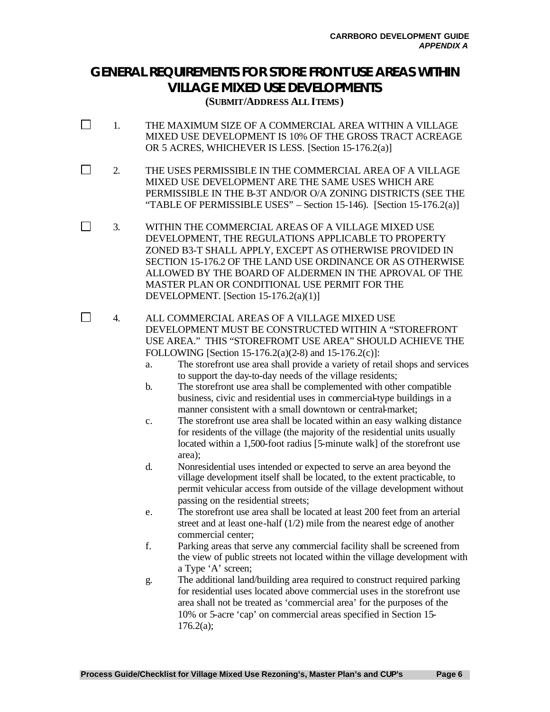### **GENERAL REQUIREMENTS FOR STORE FRONT USE AREAS WITHIN VILLAGE MIXED USE DEVELOPMENTS**

**(SUBMIT/ADDRESS ALL ITEMS)**

- $\Box$ 1. THE MAXIMUM SIZE OF A COMMERCIAL AREA WITHIN A VILLAGE MIXED USE DEVELOPMENT IS 10% OF THE GROSS TRACT ACREAGE OR 5 ACRES, WHICHEVER IS LESS. [Section 15-176.2(a)]
- $\Box$ 2. THE USES PERMISSIBLE IN THE COMMERCIAL AREA OF A VILLAGE MIXED USE DEVELOPMENT ARE THE SAME USES WHICH ARE PERMISSIBLE IN THE B-3T AND/OR O/A ZONING DISTRICTS (SEE THE "TABLE OF PERMISSIBLE USES" – Section 15-146). [Section 15-176.2(a)]
- $\Box$ 3. WITHIN THE COMMERCIAL AREAS OF A VILLAGE MIXED USE DEVELOPMENT, THE REGULATIONS APPLICABLE TO PROPERTY ZONED B3-T SHALL APPLY, EXCEPT AS OTHERWISE PROVIDED IN SECTION 15-176.2 OF THE LAND USE ORDINANCE OR AS OTHERWISE ALLOWED BY THE BOARD OF ALDERMEN IN THE APROVAL OF THE MASTER PLAN OR CONDITIONAL USE PERMIT FOR THE DEVELOPMENT. [Section 15-176.2(a)(1)]
	- 4. ALL COMMERCIAL AREAS OF A VILLAGE MIXED USE DEVELOPMENT MUST BE CONSTRUCTED WITHIN A "STOREFRONT USE AREA." THIS "STOREFROMT USE AREA" SHOULD ACHIEVE THE FOLLOWING [Section 15-176.2(a)(2-8) and 15-176.2(c)]:

 $\Box$ 

- a. The storefront use area shall provide a variety of retail shops and services to support the day-to-day needs of the village residents;
- b. The storefront use area shall be complemented with other compatible business, civic and residential uses in commercial-type buildings in a manner consistent with a small downtown or central-market;
- c. The storefront use area shall be located within an easy walking distance for residents of the village (the majority of the residential units usually located within a 1,500-foot radius [5-minute walk] of the storefront use area);
- d. Nonresidential uses intended or expected to serve an area beyond the village development itself shall be located, to the extent practicable, to permit vehicular access from outside of the village development without passing on the residential streets;
- e. The storefront use area shall be located at least 200 feet from an arterial street and at least one-half (1/2) mile from the nearest edge of another commercial center;
- f. Parking areas that serve any commercial facility shall be screened from the view of public streets not located within the village development with a Type 'A' screen;
- g. The additional land/building area required to construct required parking for residential uses located above commercial uses in the storefront use area shall not be treated as 'commercial area' for the purposes of the 10% or 5-acre 'cap' on commercial areas specified in Section 15-  $176.2(a)$ ;

**Process Guide/Checklist for Village Mixed Use Rezoning's, Master Plan's and CUP's Page 6**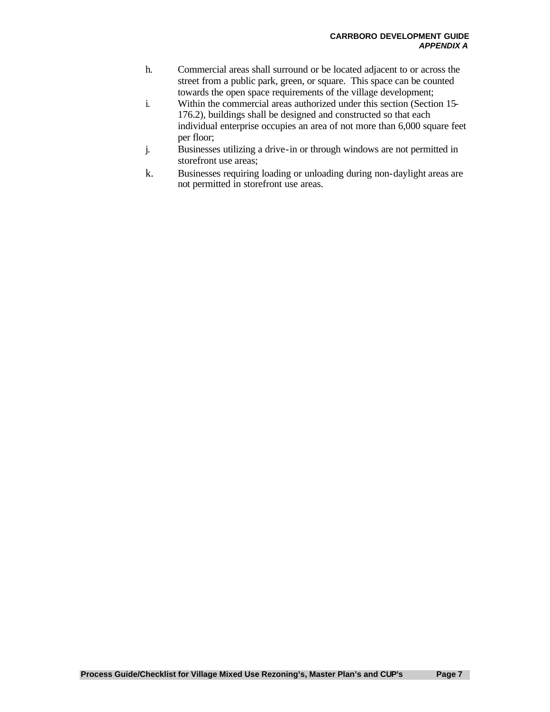- h. Commercial areas shall surround or be located adjacent to or across the street from a public park, green, or square. This space can be counted towards the open space requirements of the village development;
- i. Within the commercial areas authorized under this section (Section 15- 176.2), buildings shall be designed and constructed so that each individual enterprise occupies an area of not more than 6,000 square feet per floor;
- j. Businesses utilizing a drive-in or through windows are not permitted in storefront use areas;
- k. Businesses requiring loading or unloading during non-daylight areas are not permitted in storefront use areas.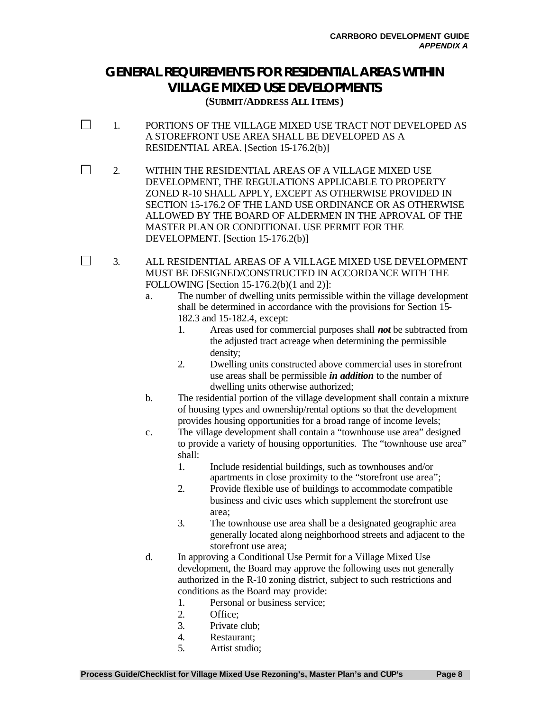## **GENERAL REQUIREMENTS FOR RESIDENTIAL AREAS WITHIN VILLAGE MIXED USE DEVELOPMENTS**

**(SUBMIT/ADDRESS ALL ITEMS)**

- $\Box$ 1. PORTIONS OF THE VILLAGE MIXED USE TRACT NOT DEVELOPED AS A STOREFRONT USE AREA SHALL BE DEVELOPED AS A RESIDENTIAL AREA. [Section 15-176.2(b)]
- $\Box$ 2. WITHIN THE RESIDENTIAL AREAS OF A VILLAGE MIXED USE DEVELOPMENT, THE REGULATIONS APPLICABLE TO PROPERTY ZONED R-10 SHALL APPLY, EXCEPT AS OTHERWISE PROVIDED IN SECTION 15-176.2 OF THE LAND USE ORDINANCE OR AS OTHERWISE ALLOWED BY THE BOARD OF ALDERMEN IN THE APROVAL OF THE MASTER PLAN OR CONDITIONAL USE PERMIT FOR THE DEVELOPMENT. [Section 15-176.2(b)]

3. ALL RESIDENTIAL AREAS OF A VILLAGE MIXED USE DEVELOPMENT MUST BE DESIGNED/CONSTRUCTED IN ACCORDANCE WITH THE FOLLOWING [Section 15-176.2(b)(1 and 2)]:

- a. The number of dwelling units permissible within the village development shall be determined in accordance with the provisions for Section 15- 182.3 and 15-182.4, except:
	- 1. Areas used for commercial purposes shall *not* be subtracted from the adjusted tract acreage when determining the permissible density;
	- 2. Dwelling units constructed above commercial uses in storefront use areas shall be permissible *in addition* to the number of dwelling units otherwise authorized;
- b. The residential portion of the village development shall contain a mixture of housing types and ownership/rental options so that the development provides housing opportunities for a broad range of income levels;
- c. The village development shall contain a "townhouse use area" designed to provide a variety of housing opportunities. The "townhouse use area" shall:
	- 1. Include residential buildings, such as townhouses and/or apartments in close proximity to the "storefront use area";
	- 2. Provide flexible use of buildings to accommodate compatible business and civic uses which supplement the storefront use area;
	- 3. The townhouse use area shall be a designated geographic area generally located along neighborhood streets and adjacent to the storefront use area;
- d. In approving a Conditional Use Permit for a Village Mixed Use development, the Board may approve the following uses not generally authorized in the R-10 zoning district, subject to such restrictions and conditions as the Board may provide:

1. Personal or business service;

2. Office;

- 3. Private club;
- 4. Restaurant;
- 5. Artist studio;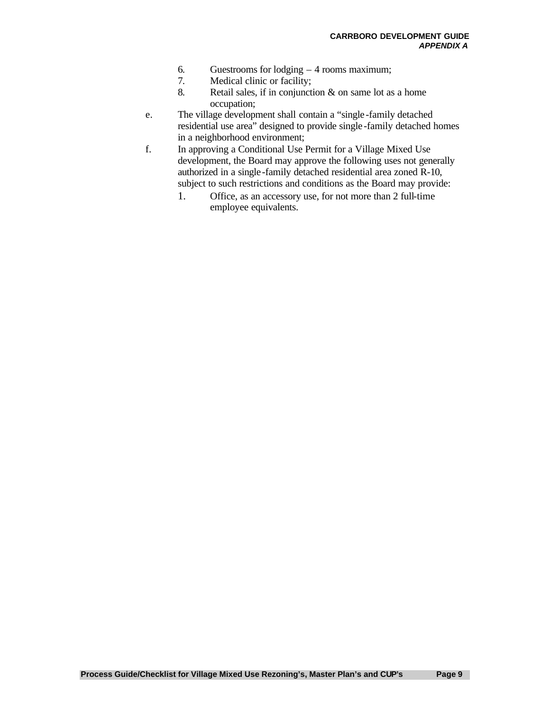- 6. Guestrooms for lodging 4 rooms maximum;
- 7. Medical clinic or facility;
- 8. Retail sales, if in conjunction & on same lot as a home occupation;
- e. The village development shall contain a "single -family detached residential use area" designed to provide single -family detached homes in a neighborhood environment;
- f. In approving a Conditional Use Permit for a Village Mixed Use development, the Board may approve the following uses not generally authorized in a single-family detached residential area zoned R-10, subject to such restrictions and conditions as the Board may provide:
	- 1. Office, as an accessory use, for not more than 2 full-time employee equivalents.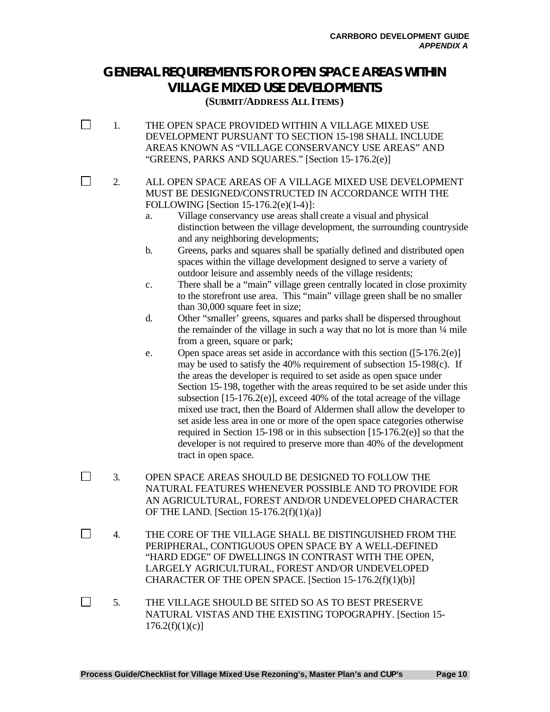## **GENERAL REQUIREMENTS FOR OPEN SPACE AREAS WITHIN VILLAGE MIXED USE DEVELOPMENTS**

**(SUBMIT/ADDRESS ALL ITEMS)**

 $\Box$ 1. THE OPEN SPACE PROVIDED WITHIN A VILLAGE MIXED USE DEVELOPMENT PURSUANT TO SECTION 15-198 SHALL INCLUDE AREAS KNOWN AS "VILLAGE CONSERVANCY USE AREAS" AND "GREENS, PARKS AND SQUARES." [Section 15-176.2(e)]

 $\Box$ 

2. ALL OPEN SPACE AREAS OF A VILLAGE MIXED USE DEVELOPMENT MUST BE DESIGNED/CONSTRUCTED IN ACCORDANCE WITH THE FOLLOWING [Section 15-176.2(e)(1-4)]:

- a. Village conservancy use areas shall create a visual and physical distinction between the village development, the surrounding countryside and any neighboring developments;
- b. Greens, parks and squares shall be spatially defined and distributed open spaces within the village development designed to serve a variety of outdoor leisure and assembly needs of the village residents;
- c. There shall be a "main" village green centrally located in close proximity to the storefront use area. This "main" village green shall be no smaller than 30,000 square feet in size;
- d. Other "smaller' greens, squares and parks shall be dispersed throughout the remainder of the village in such a way that no lot is more than ¼ mile from a green, square or park;
- e. Open space areas set aside in accordance with this section ([5-176.2(e)] may be used to satisfy the 40% requirement of subsection 15-198(c). If the areas the developer is required to set aside as open space under Section 15-198, together with the areas required to be set aside under this subsection [15-176.2(e)], exceed 40% of the total acreage of the village mixed use tract, then the Board of Aldermen shall allow the developer to set aside less area in one or more of the open space categories otherwise required in Section 15-198 or in this subsection [15-176.2(e)] so that the developer is not required to preserve more than 40% of the development tract in open space.
- П 3. OPEN SPACE AREAS SHOULD BE DESIGNED TO FOLLOW THE NATURAL FEATURES WHENEVER POSSIBLE AND TO PROVIDE FOR AN AGRICULTURAL, FOREST AND/OR UNDEVELOPED CHARACTER OF THE LAND. [Section  $15-176.2(f)(1)(a)$ ]
- $\Box$ 4. THE CORE OF THE VILLAGE SHALL BE DISTINGUISHED FROM THE PERIPHERAL, CONTIGUOUS OPEN SPACE BY A WELL-DEFINED "HARD EDGE" OF DWELLINGS IN CONTRAST WITH THE OPEN, LARGELY AGRICULTURAL, FOREST AND/OR UNDEVELOPED CHARACTER OF THE OPEN SPACE. [Section 15-176.2(f)(1)(b)]
- $\Box$ 5. THE VILLAGE SHOULD BE SITED SO AS TO BEST PRESERVE NATURAL VISTAS AND THE EXISTING TOPOGRAPHY. [Section 15-  $176.2(f)(1)(c)$ ]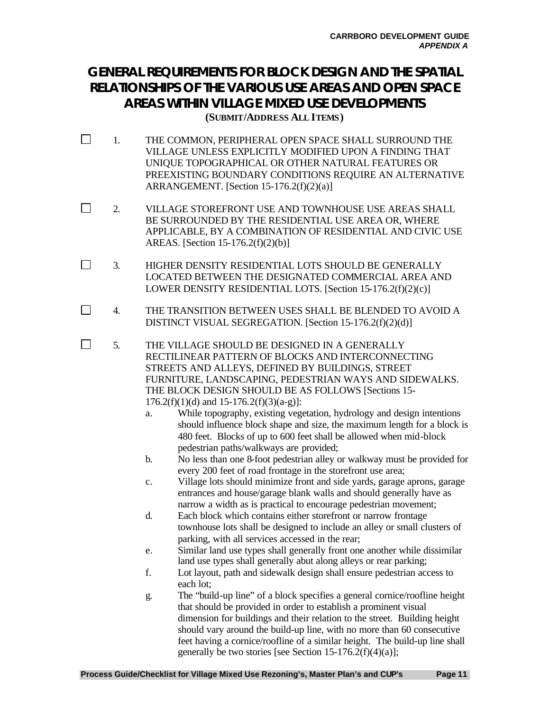### **GENERAL REQUIREMENTS FOR BLOCK DESIGN AND THE SPATIAL RELATIONSHIPS OF THE VARIOUS USE AREAS AND OPEN SPACE AREAS WITHIN VILLAGE MIXED USE DEVELOPMENTS (SUBMIT/ADDRESS ALL ITEMS)**

- $\Box$ 1. THE COMMON, PERIPHERAL OPEN SPACE SHALL SURROUND THE VILLAGE UNLESS EXPLICITLY MODIFIED UPON A FINDING THAT UNIQUE TOPOGRAPHICAL OR OTHER NATURAL FEATURES OR PREEXISTING BOUNDARY CONDITIONS REQUIRE AN ALTERNATIVE ARRANGEMENT. [Section  $15-176.2(f)(2)(a)$ ]
- $\Box$ 2. VILLAGE STOREFRONT USE AND TOWNHOUSE USE AREAS SHALL BE SURROUNDED BY THE RESIDENTIAL USE AREA OR, WHERE APPLICABLE, BY A COMBINATION OF RESIDENTIAL AND CIVIC USE AREAS. [Section 15-176.2(f)(2)(b)]
- $\Box$ 3. HIGHER DENSITY RESIDENTIAL LOTS SHOULD BE GENERALLY LOCATED BETWEEN THE DESIGNATED COMMERCIAL AREA AND LOWER DENSITY RESIDENTIAL LOTS. [Section 15-176.2(f)(2)(c)]
- $\Box$ 4. THE TRANSITION BETWEEN USES SHALL BE BLENDED TO AVOID A DISTINCT VISUAL SEGREGATION. [Section 15-176.2(f)(2)(d)]
- П 5. THE VILLAGE SHOULD BE DESIGNED IN A GENERALLY RECTILINEAR PATTERN OF BLOCKS AND INTERCONNECTING STREETS AND ALLEYS, DEFINED BY BUILDINGS, STREET FURNITURE, LANDSCAPING, PEDESTRIAN WAYS AND SIDEWALKS. THE BLOCK DESIGN SHOULD BE AS FOLLOWS [Sections 15-  $176.2(f)(1)(d)$  and  $15-176.2(f)(3)(a-g)$ :
	- a. While topography, existing vegetation, hydrology and design intentions should influence block shape and size, the maximum length for a block is 480 feet. Blocks of up to 600 feet shall be allowed when mid-block pedestrian paths/walkways are provided;
	- b. No less than one 8-foot pedestrian alley or walkway must be provided for every 200 feet of road frontage in the storefront use area;
	- c. Village lots should minimize front and side yards, garage aprons, garage entrances and house/garage blank walls and should generally have as narrow a width as is practical to encourage pedestrian movement;
	- d. Each block which contains either storefront or narrow frontage townhouse lots shall be designed to include an alley or small clusters of parking, with all services accessed in the rear;
	- e. Similar land use types shall generally front one another while dissimilar land use types shall generally abut along alleys or rear parking;
	- f. Lot layout, path and sidewalk design shall ensure pedestrian access to each lot;
	- g. The "build-up line" of a block specifies a general cornice/roofline height that should be provided in order to establish a prominent visual dimension for buildings and their relation to the street. Building height should vary around the build-up line, with no more than 60 consecutive feet having a cornice/roofline of a similar height. The build-up line shall generally be two stories [see Section 15-176.2(f)(4)(a)];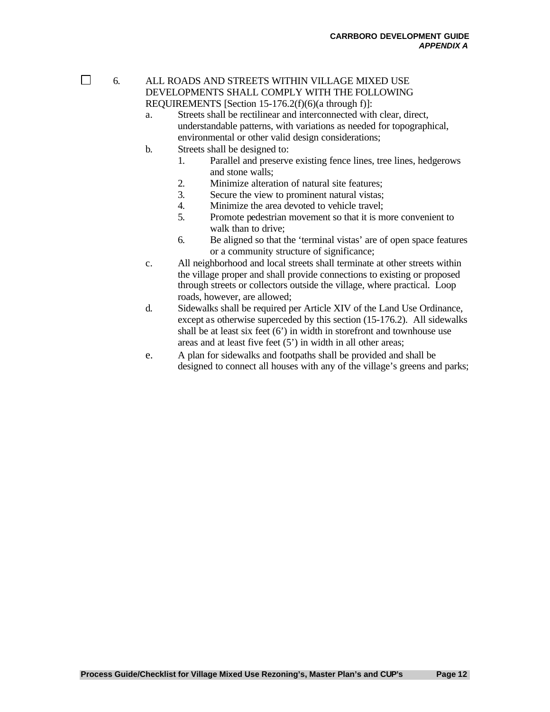$\Box$ 

#### 6. ALL ROADS AND STREETS WITHIN VILLAGE MIXED USE DEVELOPMENTS SHALL COMPLY WITH THE FOLLOWING REQUIREMENTS [Section 15-176.2(f)(6)(a through f)]:

- a. Streets shall be rectilinear and interconnected with clear, direct, understandable patterns, with variations as needed for topographical, environmental or other valid design considerations;
- b. Streets shall be designed to:
	- 1. Parallel and preserve existing fence lines, tree lines, hedgerows and stone walls;
	- 2. Minimize alteration of natural site features;
	- 3. Secure the view to prominent natural vistas;
	- 4. Minimize the area devoted to vehicle travel;
	- 5. Promote pedestrian movement so that it is more convenient to walk than to drive:
	- 6. Be aligned so that the 'terminal vistas' are of open space features or a community structure of significance;
- c. All neighborhood and local streets shall terminate at other streets within the village proper and shall provide connections to existing or proposed through streets or collectors outside the village, where practical. Loop roads, however, are allowed;
- d. Sidewalks shall be required per Article XIV of the Land Use Ordinance, except as otherwise superceded by this section (15-176.2). All sidewalks shall be at least six feet (6') in width in storefront and townhouse use areas and at least five feet (5') in width in all other areas;
- e. A plan for sidewalks and footpaths shall be provided and shall be designed to connect all houses with any of the village's greens and parks;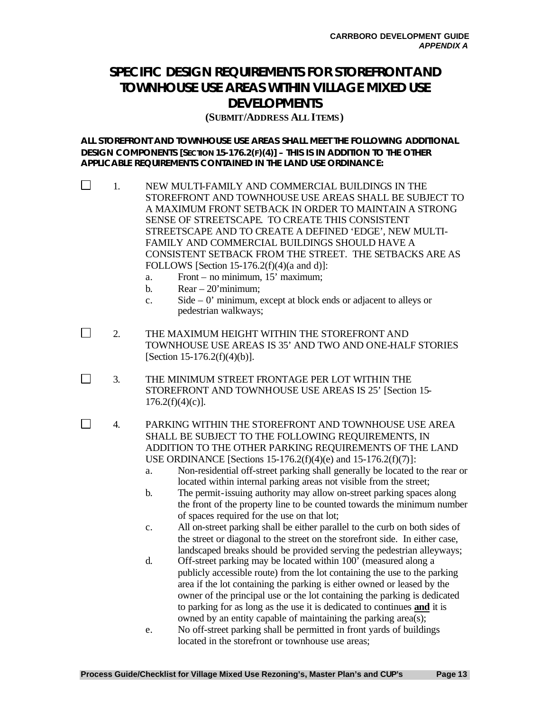### **SPECIFIC DESIGN REQUIREMENTS FOR STOREFRONT AND TOWNHOUSE USE AREAS WITHIN VILLAGE MIXED USE DEVELOPMENTS**

#### **(SUBMIT/ADDRESS ALL ITEMS)**

**ALL STOREFRONT AND TOWNHOUSE USE AREAS SHALL MEET THE FOLLOWING ADDITIONAL DESIGN COMPONENTS [SECTION 15-176.2(F)(4)] – THIS IS IN ADDITION TO THE OTHER APPLICABLE REQUIREMENTS CONTAINED IN THE LAND USE ORDINANCE:**

- П 1. NEW MULTI-FAMILY AND COMMERCIAL BUILDINGS IN THE STOREFRONT AND TOWNHOUSE USE AREAS SHALL BE SUBJECT TO A MAXIMUM FRONT SETBACK IN ORDER TO MAINTAIN A STRONG SENSE OF STREETSCAPE. TO CREATE THIS CONSISTENT STREETSCAPE AND TO CREATE A DEFINED 'EDGE', NEW MULTI-FAMILY AND COMMERCIAL BUILDINGS SHOULD HAVE A CONSISTENT SETBACK FROM THE STREET. THE SETBACKS ARE AS FOLLOWS [Section 15-176.2(f)(4)(a and d)]:
	- a. Front no minimum, 15' maximum;
	- b.  $Rear 20'$  minimum:

 $\Box$ 

П

- c. Side 0' minimum, except at block ends or adjacent to alleys or pedestrian walkways;
- $\Box$ 2. THE MAXIMUM HEIGHT WITHIN THE STOREFRONT AND TOWNHOUSE USE AREAS IS 35' AND TWO AND ONE-HALF STORIES [Section 15-176.2(f)(4)(b)].
	- 3. THE MINIMUM STREET FRONTAGE PER LOT WITHIN THE STOREFRONT AND TOWNHOUSE USE AREAS IS 25' [Section 15-  $176.2(f)(4)(c)$ ].
		- 4. PARKING WITHIN THE STOREFRONT AND TOWNHOUSE USE AREA SHALL BE SUBJECT TO THE FOLLOWING REQUIREMENTS, IN ADDITION TO THE OTHER PARKING REQUIREMENTS OF THE LAND USE ORDINANCE [Sections 15-176.2(f)(4)(e) and 15-176.2(f)(7)]:
			- a. Non-residential off-street parking shall generally be located to the rear or located within internal parking areas not visible from the street;
			- b. The permit-issuing authority may allow on-street parking spaces along the front of the property line to be counted towards the minimum number of spaces required for the use on that lot;
			- c. All on-street parking shall be either parallel to the curb on both sides of the street or diagonal to the street on the storefront side. In either case, landscaped breaks should be provided serving the pedestrian alleyways;
			- d. Off-street parking may be located within 100' (measured along a publicly accessible route) from the lot containing the use to the parking area if the lot containing the parking is either owned or leased by the owner of the principal use or the lot containing the parking is dedicated to parking for as long as the use it is dedicated to continues **and** it is owned by an entity capable of maintaining the parking area(s);
			- e. No off-street parking shall be permitted in front yards of buildings located in the storefront or townhouse use areas;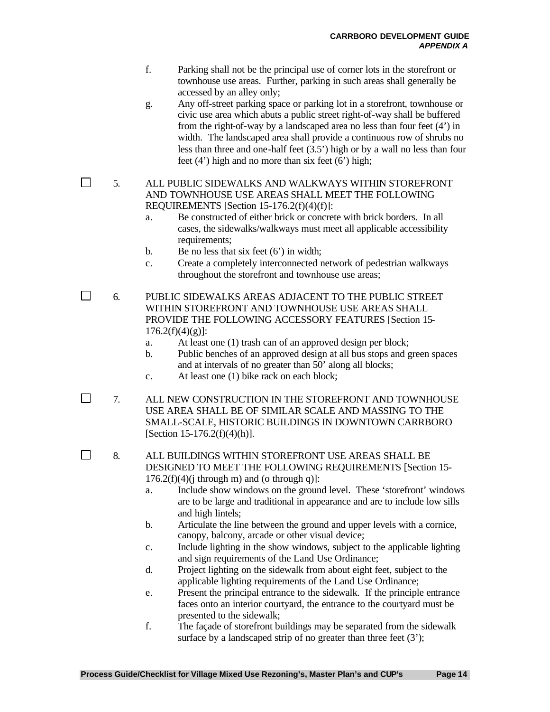- f. Parking shall not be the principal use of corner lots in the storefront or townhouse use areas. Further, parking in such areas shall generally be accessed by an alley only;
- g. Any off-street parking space or parking lot in a storefront, townhouse or civic use area which abuts a public street right-of-way shall be buffered from the right-of-way by a landscaped area no less than four feet (4') in width. The landscaped area shall provide a continuous row of shrubs no less than three and one-half feet (3.5') high or by a wall no less than four feet  $(4')$  high and no more than six feet  $(6')$  high;

5. ALL PUBLIC SIDEWALKS AND WALKWAYS WITHIN STOREFRONT AND TOWNHOUSE USE AREAS SHALL MEET THE FOLLOWING REQUIREMENTS [Section 15-176.2(f)(4)(f)]:

- a. Be constructed of either brick or concrete with brick borders. In all cases, the sidewalks/walkways must meet all applicable accessibility requirements:
- b. Be no less that six feet  $(6')$  in width;
- c. Create a completely interconnected network of pedestrian walkways throughout the storefront and townhouse use areas;

 $\Box$ 6. PUBLIC SIDEWALKS AREAS ADJACENT TO THE PUBLIC STREET WITHIN STOREFRONT AND TOWNHOUSE USE AREAS SHALL PROVIDE THE FOLLOWING ACCESSORY FEATURES [Section 15-  $176.2(f)(4)(g)$ :

- a. At least one (1) trash can of an approved design per block;
- b. Public benches of an approved design at all bus stops and green spaces and at intervals of no greater than 50' along all blocks;
- c. At least one (1) bike rack on each block;
- 7. ALL NEW CONSTRUCTION IN THE STOREFRONT AND TOWNHOUSE USE AREA SHALL BE OF SIMILAR SCALE AND MASSING TO THE SMALL-SCALE, HISTORIC BUILDINGS IN DOWNTOWN CARRBORO [Section 15-176.2(f)(4)(h)].

 $\Box$ 8. ALL BUILDINGS WITHIN STOREFRONT USE AREAS SHALL BE DESIGNED TO MEET THE FOLLOWING REQUIREMENTS [Section 15-  $176.2(f)(4)(i)$  through m) and (o through q)]:

- a. Include show windows on the ground level. These 'storefront' windows are to be large and traditional in appearance and are to include low sills and high lintels;
- b. Articulate the line between the ground and upper levels with a cornice, canopy, balcony, arcade or other visual device;
- c. Include lighting in the show windows, subject to the applicable lighting and sign requirements of the Land Use Ordinance;
- d. Project lighting on the sidewalk from about eight feet, subject to the applicable lighting requirements of the Land Use Ordinance;
- e. Present the principal entrance to the sidewalk. If the principle entrance faces onto an interior courtyard, the entrance to the courtyard must be presented to the sidewalk;
- f. The façade of storefront buildings may be separated from the sidewalk surface by a landscaped strip of no greater than three feet (3');

 $\Box$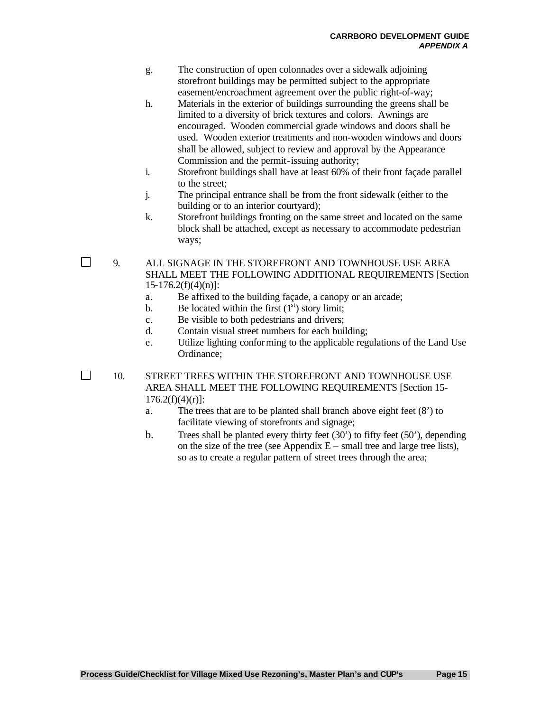- g. The construction of open colonnades over a sidewalk adjoining storefront buildings may be permitted subject to the appropriate easement/encroachment agreement over the public right-of-way;
- h. Materials in the exterior of buildings surrounding the greens shall be limited to a diversity of brick textures and colors. Awnings are encouraged. Wooden commercial grade windows and doors shall be used. Wooden exterior treatments and non-wooden windows and doors shall be allowed, subject to review and approval by the Appearance Commission and the permit-issuing authority;
- i. Storefront buildings shall have at least 60% of their front façade parallel to the street;
- j. The principal entrance shall be from the front sidewalk (either to the building or to an interior courtyard);
- k. Storefront buildings fronting on the same street and located on the same block shall be attached, except as necessary to accommodate pedestrian ways;

9. ALL SIGNAGE IN THE STOREFRONT AND TOWNHOUSE USE AREA SHALL MEET THE FOLLOWING ADDITIONAL REQUIREMENTS [Section  $15-176.2(f)(4)(n)$ :

- a. Be affixed to the building façade, a canopy or an arcade;
- b. Be located within the first  $(1<sup>st</sup>)$  story limit;
- c. Be visible to both pedestrians and drivers;
- d. Contain visual street numbers for each building;
- e. Utilize lighting conforming to the applicable regulations of the Land Use Ordinance;

10. STREET TREES WITHIN THE STOREFRONT AND TOWNHOUSE USE AREA SHALL MEET THE FOLLOWING REQUIREMENTS [Section 15-  $176.2(f)(4)(r)$ :

- a. The trees that are to be planted shall branch above eight feet (8') to facilitate viewing of storefronts and signage;
- b. Trees shall be planted every thirty feet (30') to fifty feet (50'), depending on the size of the tree (see Appendix  $E$  – small tree and large tree lists), so as to create a regular pattern of street trees through the area;

 $\Box$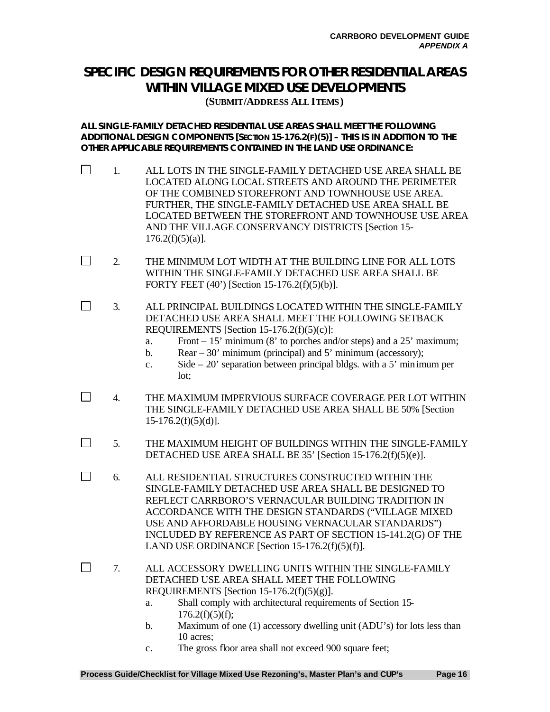### **SPECIFIC DESIGN REQUIREMENTS FOR OTHER RESIDENTIAL AREAS WITHIN VILLAGE MIXED USE DEVELOPMENTS**

**(SUBMIT/ADDRESS ALL ITEMS)**

**ALL SINGLE-FAMILY DETACHED RESIDENTIAL USE AREAS SHALL MEET THE FOLLOWING ADDITIONAL DESIGN COMPONENTS [SECTION 15-176.2(F)(5)] – THIS IS IN ADDITION TO THE OTHER APPLICABLE REQUIREMENTS CONTAINED IN THE LAND USE ORDINANCE:**

- $\Box$ 1. ALL LOTS IN THE SINGLE-FAMILY DETACHED USE AREA SHALL BE LOCATED ALONG LOCAL STREETS AND AROUND THE PERIMETER OF THE COMBINED STOREFRONT AND TOWNHOUSE USE AREA. FURTHER, THE SINGLE-FAMILY DETACHED USE AREA SHALL BE LOCATED BETWEEN THE STOREFRONT AND TOWNHOUSE USE AREA AND THE VILLAGE CONSERVANCY DISTRICTS [Section 15-  $176.2(f)(5)(a)$ ].
- $\Box$ 2. THE MINIMUM LOT WIDTH AT THE BUILDING LINE FOR ALL LOTS WITHIN THE SINGLE-FAMILY DETACHED USE AREA SHALL BE FORTY FEET (40') [Section 15-176.2(f)(5)(b)].
- П 3. ALL PRINCIPAL BUILDINGS LOCATED WITHIN THE SINGLE-FAMILY DETACHED USE AREA SHALL MEET THE FOLLOWING SETBACK REQUIREMENTS [Section 15-176.2(f)(5)(c)]:
	- a. Front  $-15'$  minimum (8' to porches and/or steps) and a 25' maximum;
	- b. Rear  $-30'$  minimum (principal) and 5' minimum (accessory);
	- c. Side 20' separation between principal bldgs. with a 5' minimum per lot;
- $\Box$ 4. THE MAXIMUM IMPERVIOUS SURFACE COVERAGE PER LOT WITHIN THE SINGLE-FAMILY DETACHED USE AREA SHALL BE 50% [Section  $15-176.2(f)(5)(d)$ ].
- $\Box$ 5. THE MAXIMUM HEIGHT OF BUILDINGS WITHIN THE SINGLE-FAMILY DETACHED USE AREA SHALL BE 35' [Section 15-176.2(f)(5)(e)].
- $\Box$ 6. ALL RESIDENTIAL STRUCTURES CONSTRUCTED WITHIN THE SINGLE-FAMILY DETACHED USE AREA SHALL BE DESIGNED TO REFLECT CARRBORO'S VERNACULAR BUILDING TRADITION IN ACCORDANCE WITH THE DESIGN STANDARDS ("VILLAGE MIXED USE AND AFFORDABLE HOUSING VERNACULAR STANDARDS") INCLUDED BY REFERENCE AS PART OF SECTION 15-141.2(G) OF THE LAND USE ORDINANCE [Section 15-176.2(f)(5)(f)].
- П 7. ALL ACCESSORY DWELLING UNITS WITHIN THE SINGLE-FAMILY DETACHED USE AREA SHALL MEET THE FOLLOWING REQUIREMENTS [Section  $15-176.2(f)(5)(g)$ ].
	- a. Shall comply with architectural requirements of Section 15-  $176.2(f)(5)(f)$ :
	- b. Maximum of one (1) accessory dwelling unit (ADU's) for lots less than 10 acres;
	- c. The gross floor area shall not exceed 900 square feet;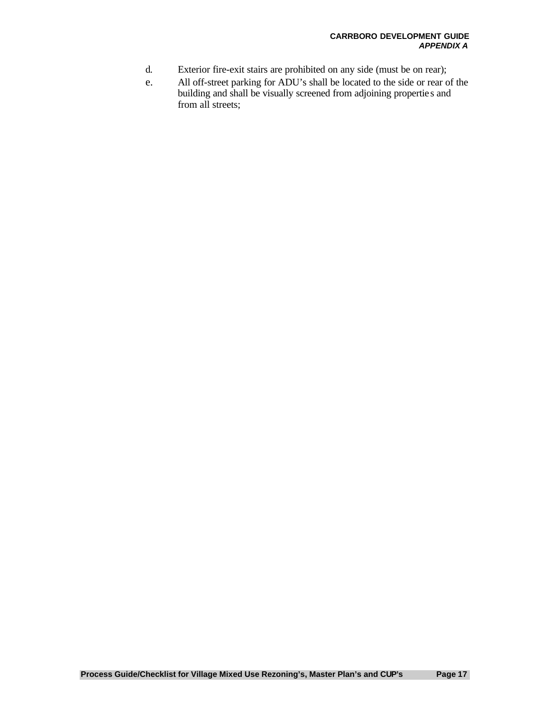- d. Exterior fire-exit stairs are prohibited on any side (must be on rear);
- e. All off-street parking for ADU's shall be located to the side or rear of the building and shall be visually screened from adjoining propertie s and from all streets;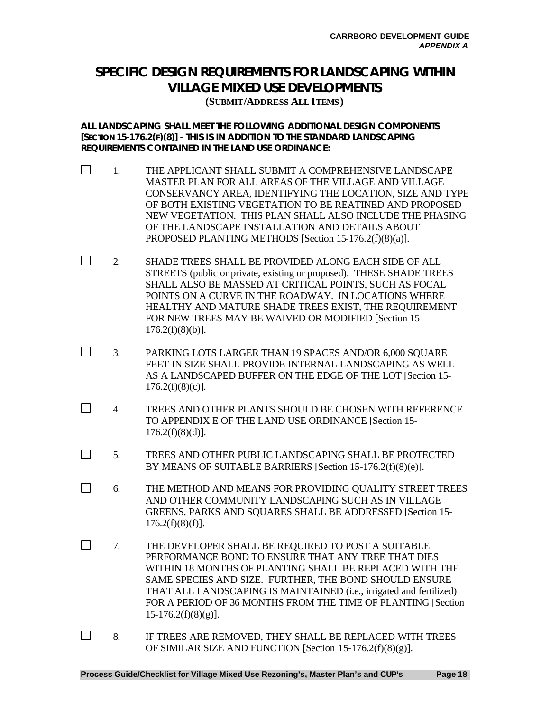### **SPECIFIC DESIGN REQUIREMENTS FOR LANDSCAPING WITHIN VILLAGE MIXED USE DEVELOPMENTS**

**(SUBMIT/ADDRESS ALL ITEMS)**

**ALL LANDSCAPING SHALL MEET THE FOLLOWING ADDITIONAL DESIGN COMPONENTS [SECTION 15-176.2(F)(8)] - THIS IS IN ADDITION TO THE STANDARD LANDSCAPING REQUIREMENTS CONTAINED IN THE LAND USE ORDINANCE:**

- $\Box$ 1. THE APPLICANT SHALL SUBMIT A COMPREHENSIVE LANDSCAPE MASTER PLAN FOR ALL AREAS OF THE VILLAGE AND VILLAGE CONSERVANCY AREA, IDENTIFYING THE LOCATION, SIZE AND TYPE OF BOTH EXISTING VEGETATION TO BE REATINED AND PROPOSED NEW VEGETATION. THIS PLAN SHALL ALSO INCLUDE THE PHASING OF THE LANDSCAPE INSTALLATION AND DETAILS ABOUT PROPOSED PLANTING METHODS [Section 15-176.2(f)(8)(a)].
- $\Box$ 2. SHADE TREES SHALL BE PROVIDED ALONG EACH SIDE OF ALL STREETS (public or private, existing or proposed). THESE SHADE TREES SHALL ALSO BE MASSED AT CRITICAL POINTS, SUCH AS FOCAL POINTS ON A CURVE IN THE ROADWAY. IN LOCATIONS WHERE HEALTHY AND MATURE SHADE TREES EXIST, THE REQUIREMENT FOR NEW TREES MAY BE WAIVED OR MODIFIED [Section 15-  $176.2(f)(8)(b)$ ].
- $\Box$ 3. PARKING LOTS LARGER THAN 19 SPACES AND/OR 6,000 SQUARE FEET IN SIZE SHALL PROVIDE INTERNAL LANDSCAPING AS WELL AS A LANDSCAPED BUFFER ON THE EDGE OF THE LOT [Section 15-  $176.2(f)(8)(c)$ ].
- $\Box$ 4. TREES AND OTHER PLANTS SHOULD BE CHOSEN WITH REFERENCE TO APPENDIX E OF THE LAND USE ORDINANCE [Section 15-  $176.2(f)(8)(d)$ ].
- $\Box$ 5. TREES AND OTHER PUBLIC LANDSCAPING SHALL BE PROTECTED BY MEANS OF SUITABLE BARRIERS [Section 15-176.2(f)(8)(e)].
- $\Box$ 6. THE METHOD AND MEANS FOR PROVIDING QUALITY STREET TREES AND OTHER COMMUNITY LANDSCAPING SUCH AS IN VILLAGE GREENS, PARKS AND SQUARES SHALL BE ADDRESSED [Section 15-  $176.2(f)(8)(f)$ ].
- $\Box$ 7. THE DEVELOPER SHALL BE REQUIRED TO POST A SUITABLE PERFORMANCE BOND TO ENSURE THAT ANY TREE THAT DIES WITHIN 18 MONTHS OF PLANTING SHALL BE REPLACED WITH THE SAME SPECIES AND SIZE. FURTHER, THE BOND SHOULD ENSURE THAT ALL LANDSCAPING IS MAINTAINED (i.e., irrigated and fertilized) FOR A PERIOD OF 36 MONTHS FROM THE TIME OF PLANTING [Section  $15-176.2(f)(8)(g)$ ].
- $\Box$ 8. IF TREES ARE REMOVED, THEY SHALL BE REPLACED WITH TREES OF SIMILAR SIZE AND FUNCTION [Section 15-176.2(f)(8)(g)].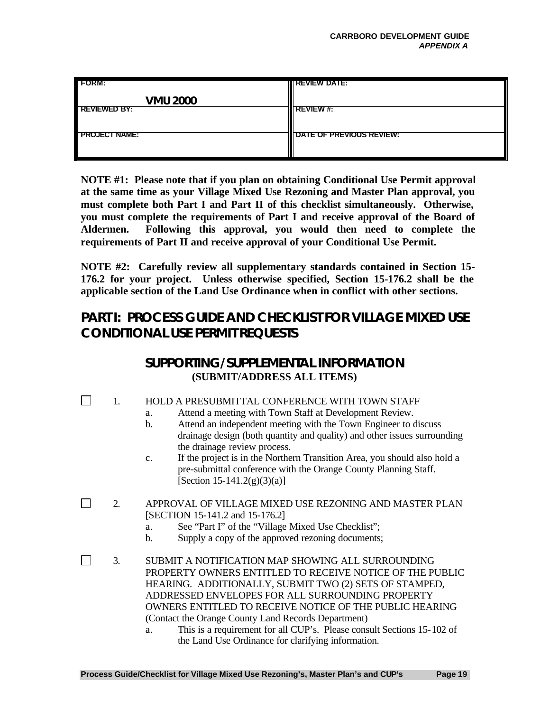| <b>FORM:</b>         | <b>IN REVIEW DATE:</b>   |
|----------------------|--------------------------|
| <b>VMU 2000</b>      |                          |
| <b>REVIEWED BY:</b>  | <b>REVIEW#:</b>          |
| <b>PROJECT NAME:</b> | DATE OF PREVIOUS REVIEW: |

**NOTE #1: Please note that if you plan on obtaining Conditional Use Permit approval at the same time as your Village Mixed Use Rezoning and Master Plan approval, you must complete both Part I and Part II of this checklist simultaneously. Otherwise, you must complete the requirements of Part I and receive approval of the Board of Aldermen. Following this approval, you would then need to complete the requirements of Part II and receive approval of your Conditional Use Permit.**

**NOTE #2: Carefully review all supplementary standards contained in Section 15- 176.2 for your project. Unless otherwise specified, Section 15-176.2 shall be the applicable section of the Land Use Ordinance when in conflict with other sections.**

### **PART I: PROCESS GUIDE AND CHECKLIST FOR VILLAGE MIXED USE CONDITIONAL USE PERMIT REQUESTS**

### **SUPPORTING/SUPPLEMENTAL INFORMATION (SUBMIT/ADDRESS ALL ITEMS)**

1. HOLD A PRESUBMITTAL CONFERENCE WITH TOWN STAFF

П

- a. Attend a meeting with Town Staff at Development Review.
- b. Attend an independent meeting with the Town Engineer to discuss drainage design (both quantity and quality) and other issues surrounding the drainage review process.
- c. If the project is in the Northern Transition Area, you should also hold a pre-submittal conference with the Orange County Planning Staff. [Section 15-141.2(g)(3)(a)]
- $\Box$ 2. APPROVAL OF VILLAGE MIXED USE REZONING AND MASTER PLAN [SECTION 15-141.2 and 15-176.2]
	- a. See "Part I" of the "Village Mixed Use Checklist";
	- b. Supply a copy of the approved rezoning documents;
- $\Box$ 3. SUBMIT A NOTIFICATION MAP SHOWING ALL SURROUNDING PROPERTY OWNERS ENTITLED TO RECEIVE NOTICE OF THE PUBLIC HEARING. ADDITIONALLY, SUBMIT TWO (2) SETS OF STAMPED, ADDRESSED ENVELOPES FOR ALL SURROUNDING PROPERTY OWNERS ENTITLED TO RECEIVE NOTICE OF THE PUBLIC HEARING (Contact the Orange County Land Records Department)
	- a. This is a requirement for all CUP's. Please consult Sections 15-102 of the Land Use Ordinance for clarifying information.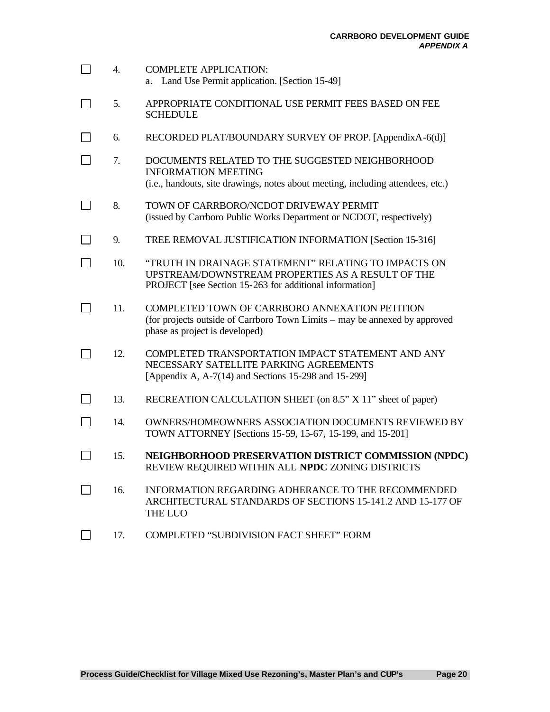| $\blacksquare$ | 4.  | <b>COMPLETE APPLICATION:</b><br>a. Land Use Permit application. [Section 15-49]                                                                                      |
|----------------|-----|----------------------------------------------------------------------------------------------------------------------------------------------------------------------|
|                | 5.  | APPROPRIATE CONDITIONAL USE PERMIT FEES BASED ON FEE<br><b>SCHEDULE</b>                                                                                              |
|                | 6.  | RECORDED PLAT/BOUNDARY SURVEY OF PROP. [AppendixA-6(d)]                                                                                                              |
|                | 7.  | DOCUMENTS RELATED TO THE SUGGESTED NEIGHBORHOOD<br><b>INFORMATION MEETING</b><br>(i.e., handouts, site drawings, notes about meeting, including attendees, etc.)     |
|                | 8.  | TOWN OF CARRBORO/NCDOT DRIVEWAY PERMIT<br>(issued by Carrboro Public Works Department or NCDOT, respectively)                                                        |
|                | 9.  | TREE REMOVAL JUSTIFICATION INFORMATION [Section 15-316]                                                                                                              |
|                | 10. | "TRUTH IN DRAINAGE STATEMENT" RELATING TO IMPACTS ON<br>UPSTREAM/DOWNSTREAM PROPERTIES AS A RESULT OF THE<br>PROJECT [see Section 15-263 for additional information] |
|                | 11. | COMPLETED TOWN OF CARRBORO ANNEXATION PETITION<br>(for projects outside of Carrboro Town Limits – may be annexed by approved<br>phase as project is developed)       |
|                | 12. | COMPLETED TRANSPORTATION IMPACT STATEMENT AND ANY<br>NECESSARY SATELLITE PARKING AGREEMENTS<br>[Appendix A, $A-7(14)$ and Sections 15-298 and 15-299]                |
|                | 13. | RECREATION CALCULATION SHEET (on 8.5" X 11" sheet of paper)                                                                                                          |
|                | 14. | <b>OWNERS/HOMEOWNERS ASSOCIATION DOCUMENTS REVIEWED BY</b><br>TOWN ATTORNEY [Sections 15-59, 15-67, 15-199, and 15-201]                                              |
|                | 15. | NEIGHBORHOOD PRESERVATION DISTRICT COMMISSION (NPDC)<br>REVIEW REQUIRED WITHIN ALL NPDC ZONING DISTRICTS                                                             |
|                | 16. | INFORMATION REGARDING ADHERANCE TO THE RECOMMENDED<br>ARCHITECTURAL STANDARDS OF SECTIONS 15-141.2 AND 15-177 OF<br><b>THE LUO</b>                                   |
|                | 17. | COMPLETED "SUBDIVISION FACT SHEET" FORM                                                                                                                              |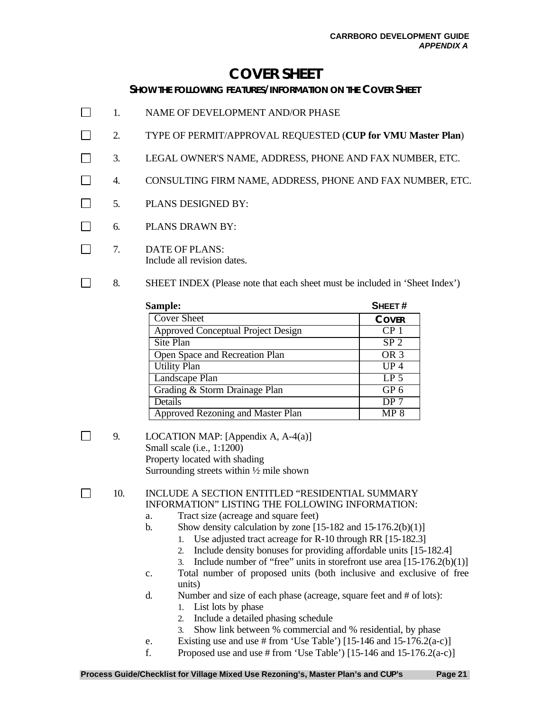## **COVER SHEET**

#### **SHOW THE FOLLOWING FEATURES/INFORMATION ON THE COVER SHEET**

- $\Box$ 1. NAME OF DEVELOPMENT AND/OR PHASE
- $\Box$ 2. TYPE OF PERMIT/APPROVAL REQUESTED (**CUP for VMU Master Plan**)
- П 3. LEGAL OWNER'S NAME, ADDRESS, PHONE AND FAX NUMBER, ETC.
- $\Box$ 4. CONSULTING FIRM NAME, ADDRESS, PHONE AND FAX NUMBER, ETC.
- $\Box$ 5. PLANS DESIGNED BY:
- $\Box$ 6. PLANS DRAWN BY:
- $\Box$ 7. DATE OF PLANS: Include all revision dates.
- $\Box$ 8. SHEET INDEX (Please note that each sheet must be included in 'Sheet Index')

| Sample:                                   | SHEET#          |
|-------------------------------------------|-----------------|
| <b>Cover Sheet</b>                        | <b>COVER</b>    |
| <b>Approved Conceptual Project Design</b> | CP <sub>1</sub> |
| Site Plan                                 | SP <sub>2</sub> |
| Open Space and Recreation Plan            | OR <sub>3</sub> |
| <b>Utility Plan</b>                       | $UP_4$          |
| Landscape Plan                            | LP <sub>5</sub> |
| Grading & Storm Drainage Plan             | GP <sub>6</sub> |
| Details                                   | DP <sub>7</sub> |
| <b>Approved Rezoning and Master Plan</b>  | MP 8            |

- $\Box$
- 9. LOCATION MAP: [Appendix A, A-4(a)] Small scale (i.e., 1:1200) Property located with shading Surrounding streets within ½ mile shown
- $\Box$ 10. INCLUDE A SECTION ENTITLED "RESIDENTIAL SUMMARY INFORMATION" LISTING THE FOLLOWING INFORMATION:
	- a. Tract size (acreage and square feet)
	- b. Show density calculation by zone  $[15-182$  and  $15-176.2(b)(1)]$ 
		- 1. Use adjusted tract acreage for R-10 through RR [15-182.3]
		- 2. Include density bonuses for providing affordable units [15-182.4]
		- 3. Include number of "free" units in storefront use area  $[15-176.2(b)(1)]$
	- c. Total number of proposed units (both inclusive and exclusive of free units)
	- d. Number and size of each phase (acreage, square feet and # of lots):
		- 1. List lots by phase
		- 2. Include a detailed phasing schedule
		- 3. Show link between % commercial and % residential, by phase
	- e. Existing use and use # from 'Use Table') [15-146 and 15-176.2(a-c)]
	- f. Proposed use and use # from 'Use Table') [15-146 and  $15-176.2(a-c)$ ]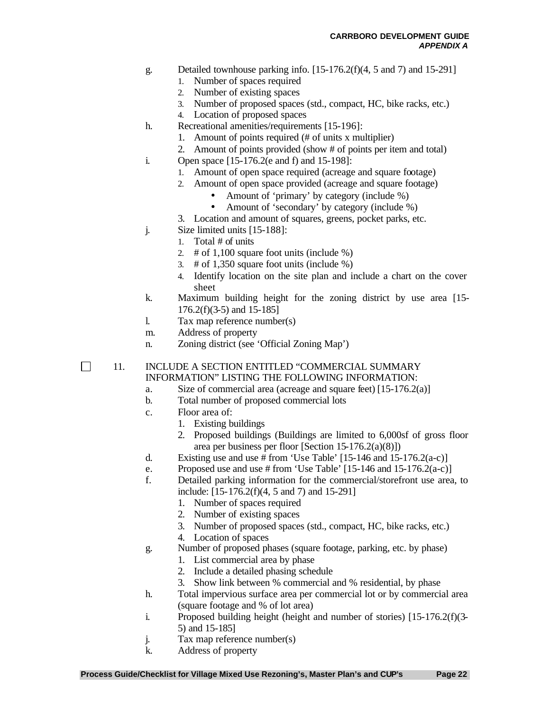- g. Detailed townhouse parking info. [15-176.2(f)(4, 5 and 7) and 15-291]
	- 1. Number of spaces required
	- 2. Number of existing spaces
	- 3. Number of proposed spaces (std., compact, HC, bike racks, etc.)

4. Location of proposed spaces

- h. Recreational amenities/requirements [15-196]:
	- 1. Amount of points required (# of units x multiplier)
	- 2. Amount of points provided (show # of points per item and total)
- i. Open space [15-176.2(e and f) and 15-198]:
	- 1. Amount of open space required (acreage and square footage)
		- 2. Amount of open space provided (acreage and square footage)
			- Amount of 'primary' by category (include %)
			- Amount of 'secondary' by category (include %)
	- 3. Location and amount of squares, greens, pocket parks, etc.
- j. Size limited units [15-188]:
	- 1. Total # of units
		- 2.  $\#$  of 1,100 square foot units (include %)
	- 3. # of 1,350 square foot units (include %)
	- 4. Identify location on the site plan and include a chart on the cover sheet
- k. Maximum building height for the zoning district by use area [15- 176.2(f)(3-5) and 15-185]
- l. Tax map reference number(s)
- m. Address of property
- n. Zoning district (see 'Official Zoning Map')

 $\Box$ 

#### 11. INCLUDE A SECTION ENTITLED "COMMERCIAL SUMMARY INFORMATION" LISTING THE FOLLOWING INFORMATION:

- a. Size of commercial area (acreage and square feet) [15-176.2(a)]
- b. Total number of proposed commercial lots
- c. Floor area of:
	- 1. Existing buildings
	- 2. Proposed buildings (Buildings are limited to 6,000sf of gross floor area per business per floor [Section 15-176.2(a)(8)])
- d. Existing use and use # from 'Use Table'  $[15-146$  and  $15-176.2(a-c)]$
- e. Proposed use and use # from 'Use Table' [15-146 and 15-176.2(a-c)]
- f. Detailed parking information for the commercial/storefront use area, to include: [15-176.2(f)(4, 5 and 7) and 15-291]
	- 1. Number of spaces required
	- 2. Number of existing spaces
	- 3. Number of proposed spaces (std., compact, HC, bike racks, etc.)
	- 4. Location of spaces
- g. Number of proposed phases (square footage, parking, etc. by phase)
	- 1. List commercial area by phase
	- 2. Include a detailed phasing schedule
	- 3. Show link between % commercial and % residential, by phase
- h. Total impervious surface area per commercial lot or by commercial area (square footage and % of lot area)
- i. Proposed building height (height and number of stories) [15-176.2(f)(3- 5) and 15-185]
- j. Tax map reference number(s)
- k. Address of property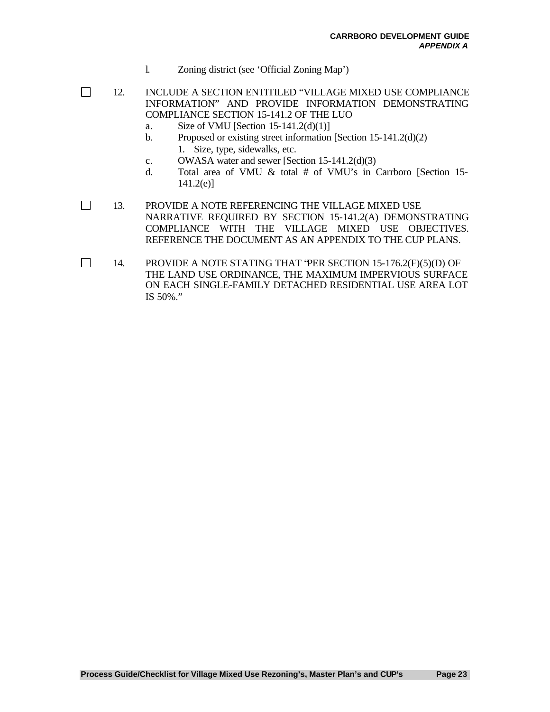- l. Zoning district (see 'Official Zoning Map')
- $\Box$ 12. INCLUDE A SECTION ENTITILED "VILLAGE MIXED USE COMPLIANCE INFORMATION" AND PROVIDE INFORMATION DEMONSTRATING COMPLIANCE SECTION 15-141.2 OF THE LUO
	- a. Size of VMU [Section  $15-141.2(d)(1)$ ]

 $\Box$ 

- b. Proposed or existing street information [Section 15-141.2(d)(2) 1. Size, type, sidewalks, etc.
- c. OWASA water and sewer [Section 15-141.2(d)(3)
- d. Total area of VMU & total # of VMU's in Carrboro [Section 15- 141.2(e)]

 $\Box$ 13. PROVIDE A NOTE REFERENCING THE VILLAGE MIXED USE NARRATIVE REQUIRED BY SECTION 15-141.2(A) DEMONSTRATING COMPLIANCE WITH THE VILLAGE MIXED USE OBJECTIVES. REFERENCE THE DOCUMENT AS AN APPENDIX TO THE CUP PLANS.

14. PROVIDE A NOTE STATING THAT "PER SECTION 15-176.2(F)(5)(D) OF THE LAND USE ORDINANCE, THE MAXIMUM IMPERVIOUS SURFACE ON EACH SINGLE-FAMILY DETACHED RESIDENTIAL USE AREA LOT IS 50%."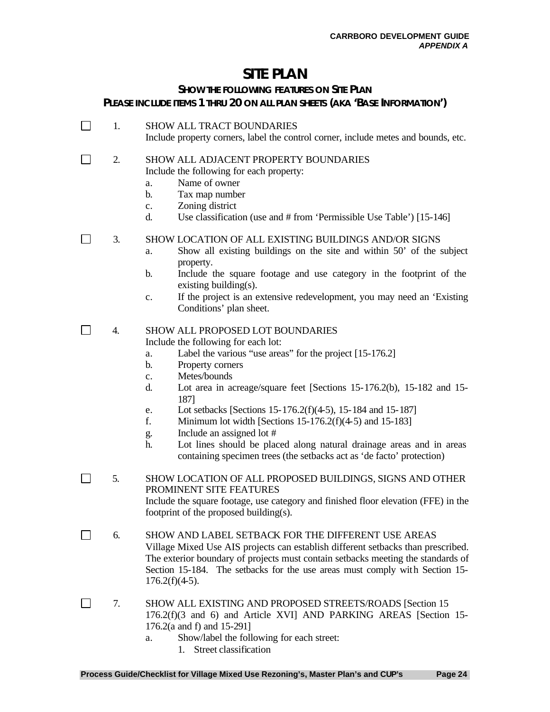### **SITE PLAN**

### **SHOW THE FOLLOWING FEATURES ON SITE PLAN PLEASE INCLUDE ITEMS 1 THRU 20 ON ALL PLAN SHEETS (AKA 'BASE INFORMATION')**

1. SHOW ALL TRACT BOUNDARIES Include property corners, label the control corner, include metes and bounds, etc.

#### $\Box$ 2. SHOW ALL ADJACENT PROPERTY BOUNDARIES Include the following for each property:

- a. Name of owner
- b. Tax map number
- c. Zoning district

 $\Box$ 

d. Use classification (use and # from 'Permissible Use Table') [15-146]

 $\Box$ 3. SHOW LOCATION OF ALL EXISTING BUILDINGS AND/OR SIGNS

- a. Show all existing buildings on the site and within 50' of the subject property.
- b. Include the square footage and use category in the footprint of the existing building(s).
- c. If the project is an extensive redevelopment, you may need an 'Existing Conditions' plan sheet.

### $\Box$  4. SHOW ALL PROPOSED LOT BOUNDARIES

Include the following for each lot:

- a. Label the various "use areas" for the project [15-176.2]
- b. Property corners
- c. Metes/bounds
- d. Lot area in acreage/square feet [Sections 15-176.2(b), 15-182 and 15- 187]
- e. Lot setbacks [Sections 15-176.2(f)(4-5), 15-184 and 15-187]
- f. Minimum lot width [Sections  $15-176.2(f)(4-5)$  and  $15-183$ ]
- g. Include an assigned lot #
- h. Lot lines should be placed along natural drainage areas and in areas containing specimen trees (the setbacks act as 'de facto' protection)
- 5. SHOW LOCATION OF ALL PROPOSED BUILDINGS, SIGNS AND OTHER PROMINENT SITE FEATURES Include the square footage, use category and finished floor elevation (FFE) in the footprint of the proposed building(s).
- $\Box$ 6. SHOW AND LABEL SETBACK FOR THE DIFFERENT USE AREAS Village Mixed Use AIS projects can establish different setbacks than prescribed. The exterior boundary of projects must contain setbacks meeting the standards of Section 15-184. The setbacks for the use areas must comply with Section 15-  $176.2(f)(4-5)$ .
- $\Box$ 7. SHOW ALL EXISTING AND PROPOSED STREETS/ROADS [Section 15 176.2(f)(3 and 6) and Article XVI] AND PARKING AREAS [Section 15- 176.2(a and f) and 15-291]
	- a. Show/label the following for each street:
		- 1. Street classification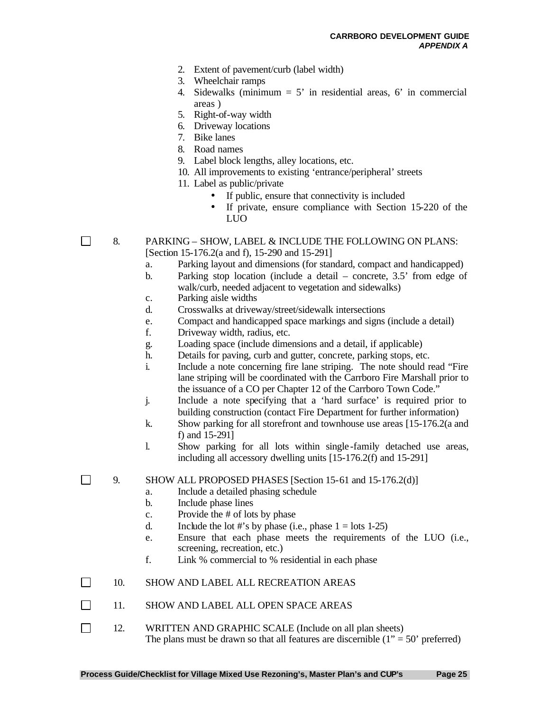- 2. Extent of pavement/curb (label width)
- 3. Wheelchair ramps
- 4. Sidewalks (minimum  $= 5'$  in residential areas, 6' in commercial areas )
- 5. Right-of-way width
- 6. Driveway locations
- 7. Bike lanes
- 8. Road names
- 9. Label block lengths, alley locations, etc.
- 10. All improvements to existing 'entrance/peripheral' streets
- 11. Label as public/private
	- If public, ensure that connectivity is included
	- If private, ensure compliance with Section 15-220 of the LUO

 $\Box$ 

- 8. PARKING SHOW, LABEL & INCLUDE THE FOLLOWING ON PLANS: [Section 15-176.2(a and f), 15-290 and 15-291]
	- a. Parking layout and dimensions (for standard, compact and handicapped)
	- b. Parking stop location (include a detail concrete, 3.5' from edge of walk/curb, needed adjacent to vegetation and sidewalks)
	- c. Parking aisle widths
	- d. Crosswalks at driveway/street/sidewalk intersections
	- e. Compact and handicapped space markings and signs (include a detail)
	- f. Driveway width, radius, etc.
	- g. Loading space (include dimensions and a detail, if applicable)
	- h. Details for paving, curb and gutter, concrete, parking stops, etc.
	- i. Include a note concerning fire lane striping. The note should read "Fire lane striping will be coordinated with the Carrboro Fire Marshall prior to the issuance of a CO per Chapter 12 of the Carrboro Town Code."
	- j. Include a note specifying that a 'hard surface' is required prior to building construction (contact Fire Department for further information)
	- k. Show parking for all storefront and townhouse use areas [15-176.2(a and f) and 15-291]
	- l. Show parking for all lots within single -family detached use areas, including all accessory dwelling units [15-176.2(f) and 15-291]

 $\Box$ 9. SHOW ALL PROPOSED PHASES [Section 15-61 and 15-176.2(d)]

- a. Include a detailed phasing schedule
- b. Include phase lines
- c. Provide the # of lots by phase
- d. Include the lot #'s by phase (i.e., phase  $1 =$  lots 1-25)
- e. Ensure that each phase meets the requirements of the LUO (i.e., screening, recreation, etc.)
- f. Link % commercial to % residential in each phase
- П 10. SHOW AND LABEL ALL RECREATION AREAS
- $\Box$ 11. SHOW AND LABEL ALL OPEN SPACE AREAS
- $\Box$ 12. WRITTEN AND GRAPHIC SCALE (Include on all plan sheets) The plans must be drawn so that all features are discernible  $(1" = 50"$  preferred)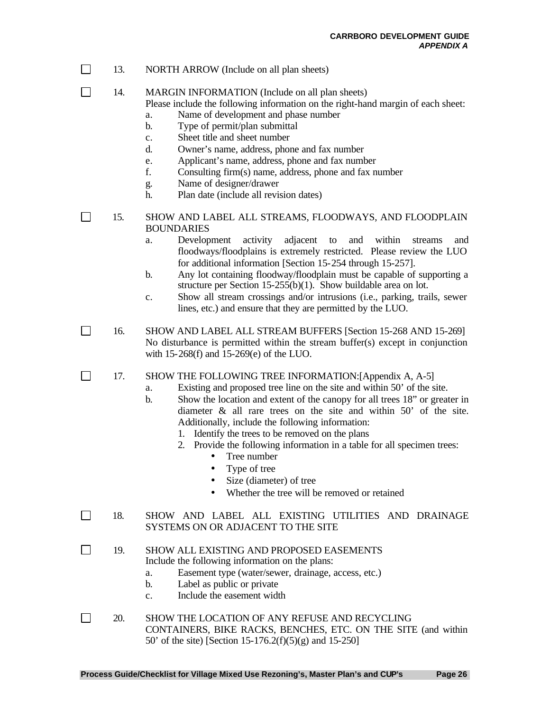- $\Box$ 13. NORTH ARROW (Include on all plan sheets)
- П 14. MARGIN INFORMATION (Include on all plan sheets)

Please include the following information on the right-hand margin of each sheet: a. Name of development and phase number

- b. Type of permit/plan submittal
- c. Sheet title and sheet number
- d. Owner's name, address, phone and fax number
- e. Applicant's name, address, phone and fax number
- f. Consulting firm(s) name, address, phone and fax number
- g. Name of designer/drawer
- h. Plan date (include all revision dates)

 15. SHOW AND LABEL ALL STREAMS, FLOODWAYS, AND FLOODPLAIN BOUNDARIES

- a. Development activity adjacent to and within streams and floodways/floodplains is extremely restricted. Please review the LUO for additional information [Section 15-254 through 15-257].
- b. Any lot containing floodway/floodplain must be capable of supporting a structure per Section 15-255(b)(1). Show buildable area on lot.
- c. Show all stream crossings and/or intrusions (i.e., parking, trails, sewer lines, etc.) and ensure that they are permitted by the LUO.
- $\Box$ 16. SHOW AND LABEL ALL STREAM BUFFERS [Section 15-268 AND 15-269] No disturbance is permitted within the stream buffer(s) except in conjunction with 15-268(f) and 15-269(e) of the LUO.

 $\Box$ 17. SHOW THE FOLLOWING TREE INFORMATION:[Appendix A, A-5]

- a. Existing and proposed tree line on the site and within 50' of the site.
- b. Show the location and extent of the canopy for all trees 18" or greater in diameter & all rare trees on the site and within 50' of the site. Additionally, include the following information:
	- 1. Identify the trees to be removed on the plans
	- 2. Provide the following information in a table for all specimen trees:
		- Tree number
		- Type of tree
		- Size (diameter) of tree
		- Whether the tree will be removed or retained
- 18. SHOW AND LABEL ALL EXISTING UTILITIES AND DRAINAGE SYSTEMS ON OR ADJACENT TO THE SITE
- $\Box$ 19. SHOW ALL EXISTING AND PROPOSED EASEMENTS Include the following information on the plans:
	- a. Easement type (water/sewer, drainage, access, etc.)
	- b. Label as public or private
	- c. Include the easement width
- $\Box$ 20. SHOW THE LOCATION OF ANY REFUSE AND RECYCLING CONTAINERS, BIKE RACKS, BENCHES, ETC. ON THE SITE (and within 50' of the site) [Section 15-176.2(f)(5)(g) and 15-250]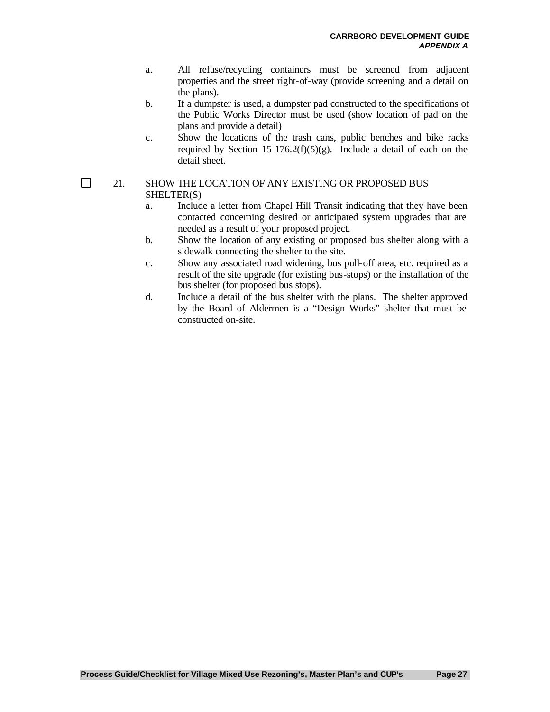- a. All refuse/recycling containers must be screened from adjacent properties and the street right-of-way (provide screening and a detail on the plans).
- b. If a dumpster is used, a dumpster pad constructed to the specifications of the Public Works Director must be used (show location of pad on the plans and provide a detail)
- c. Show the locations of the trash cans, public benches and bike racks required by Section 15-176.2(f)(5)(g). Include a detail of each on the detail sheet.

#### 21. SHOW THE LOCATION OF ANY EXISTING OR PROPOSED BUS SHELTER(S)

- a. Include a letter from Chapel Hill Transit indicating that they have been contacted concerning desired or anticipated system upgrades that are needed as a result of your proposed project.
- b. Show the location of any existing or proposed bus shelter along with a sidewalk connecting the shelter to the site.
- c. Show any associated road widening, bus pull-off area, etc. required as a result of the site upgrade (for existing bus-stops) or the installation of the bus shelter (for proposed bus stops).
- d. Include a detail of the bus shelter with the plans. The shelter approved by the Board of Aldermen is a "Design Works" shelter that must be constructed on-site.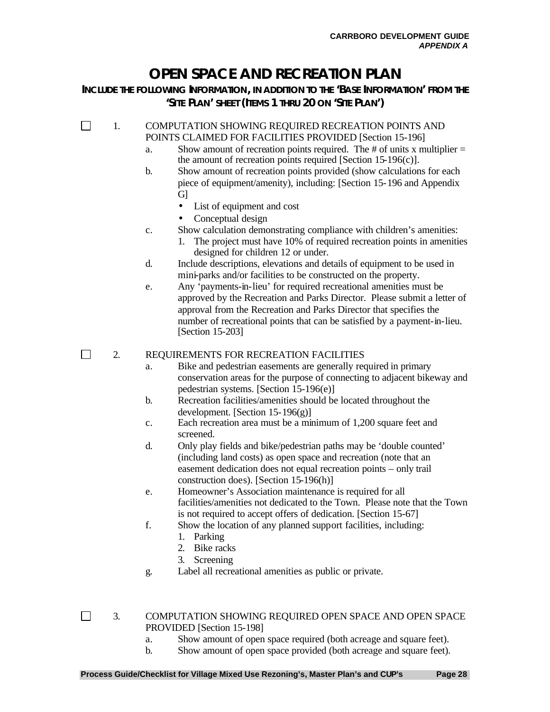# **OPEN SPACE AND RECREATION PLAN**

**INCLUDE THE FOLLOWING INFORMATION, IN ADDITION TO THE 'BASE INFORMATION' FROM THE 'SITE PLAN' SHEET (ITEMS 1 THRU 20 ON 'SITE PLAN')**

П 1. COMPUTATION SHOWING REQUIRED RECREATION POINTS AND POINTS CLAIMED FOR FACILITIES PROVIDED [Section 15-196]

- a. Show amount of recreation points required. The  $\#$  of units x multiplier  $=$ the amount of recreation points required [Section 15-196 $(c)$ ].
- b. Show amount of recreation points provided (show calculations for each piece of equipment/amenity), including: [Section 15-196 and Appendix G]
	- List of equipment and cost
	- Conceptual design
- c. Show calculation demonstrating compliance with children's amenities:
	- 1. The project must have 10% of required recreation points in amenities designed for children 12 or under.
- d. Include descriptions, elevations and details of equipment to be used in mini-parks and/or facilities to be constructed on the property.
- e. Any 'payments-in-lieu' for required recreational amenities must be approved by the Recreation and Parks Director. Please submit a letter of approval from the Recreation and Parks Director that specifies the number of recreational points that can be satisfied by a payment-in-lieu. [Section 15-203]

 $\Box$ 2. REQUIREMENTS FOR RECREATION FACILITIES

- a. Bike and pedestrian easements are generally required in primary conservation areas for the purpose of connecting to adjacent bikeway and pedestrian systems. [Section 15-196(e)]
- b. Recreation facilities/amenities should be located throughout the development. [Section 15-196(g)]
- c. Each recreation area must be a minimum of 1,200 square feet and screened.
- d. Only play fields and bike/pedestrian paths may be 'double counted' (including land costs) as open space and recreation (note that an easement dedication does not equal recreation points – only trail construction does). [Section 15-196(h)]
- e. Homeowner's Association maintenance is required for all facilities/amenities not dedicated to the Town. Please note that the Town is not required to accept offers of dedication. [Section 15-67]
- f. Show the location of any planned support facilities, including:
	- 1. Parking
	- 2. Bike racks
	- 3. Screening
- g. Label all recreational amenities as public or private.

- 3. COMPUTATION SHOWING REQUIRED OPEN SPACE AND OPEN SPACE PROVIDED [Section 15-198]
	- a. Show amount of open space required (both acreage and square feet).
	- b. Show amount of open space provided (both acreage and square feet).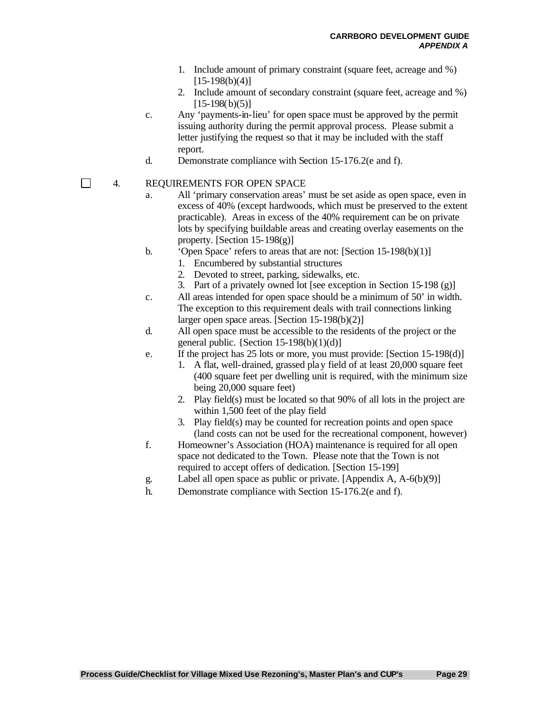- 1. Include amount of primary constraint (square feet, acreage and %)  $[15-198(b)(4)]$
- 2. Include amount of secondary constraint (square feet, acreage and %)  $[15-198(b)(5)]$
- c. Any 'payments-in-lieu' for open space must be approved by the permit issuing authority during the permit approval process. Please submit a letter justifying the request so that it may be included with the staff report.
- d. Demonstrate compliance with Section 15-176.2(e and f).

#### 4. REQUIREMENTS FOR OPEN SPACE

- a. All 'primary conservation areas' must be set aside as open space, even in excess of 40% (except hardwoods, which must be preserved to the extent practicable). Areas in excess of the 40% requirement can be on private lots by specifying buildable areas and creating overlay easements on the property. [Section  $15-198(g)$ ]
- b. 'Open Space' refers to areas that are not: [Section 15-198(b)(1)]
	- 1. Encumbered by substantial structures
		- 2. Devoted to street, parking, sidewalks, etc.
		- 3. Part of a privately owned lot [see exception in Section 15-198 (g)]
- c. All areas intended for open space should be a minimum of 50' in width. The exception to this requirement deals with trail connections linking larger open space areas. [Section 15-198(b)(2)]
- d. All open space must be accessible to the residents of the project or the general public.  ${Section 15-198(b)(1)(d)}$
- e. If the project has 25 lots or more, you must provide: [Section 15-198(d)]
	- 1. A flat, well-drained, grassed play field of at least 20,000 square feet (400 square feet per dwelling unit is required, with the minimum size being 20,000 square feet)
	- 2. Play field(s) must be located so that 90% of all lots in the project are within 1,500 feet of the play field
	- 3. Play field(s) may be counted for recreation points and open space (land costs can not be used for the recreational component, however)
- f. Homeowner's Association (HOA) maintenance is required for all open space not dedicated to the Town. Please note that the Town is not required to accept offers of dedication. [Section 15-199]
- g. Label all open space as public or private. [Appendix A, A-6(b)(9)]
- h. Demonstrate compliance with Section 15-176.2(e and f).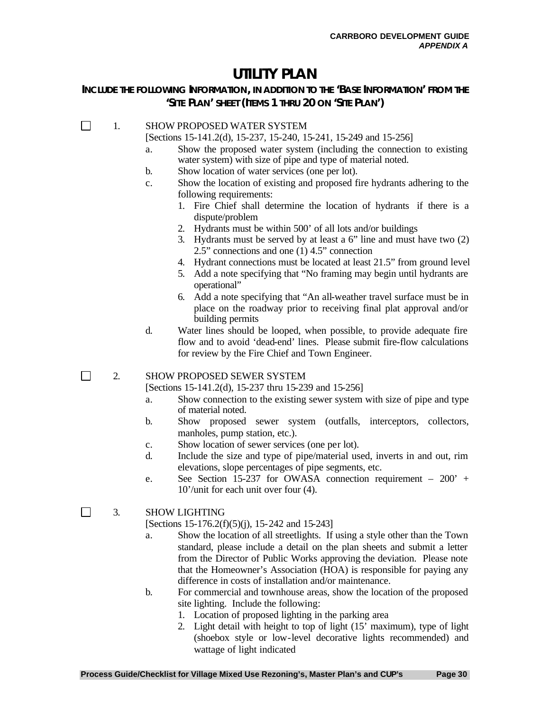### **UTILITY PLAN**

#### **INCLUDE THE FOLLOWING INFORMATION, IN ADDITION TO THE 'BASE INFORMATION' FROM THE 'SITE PLAN' SHEET (ITEMS 1 THRU 20 ON 'SITE PLAN')**

#### П 1. SHOW PROPOSED WATER SYSTEM

[Sections 15-141.2(d), 15-237, 15-240, 15-241, 15-249 and 15-256]

- a. Show the proposed water system (including the connection to existing water system) with size of pipe and type of material noted.
- b. Show location of water services (one per lot).
- c. Show the location of existing and proposed fire hydrants adhering to the following requirements:
	- 1. Fire Chief shall determine the location of hydrants if there is a dispute/problem
	- 2. Hydrants must be within 500' of all lots and/or buildings
	- 3. Hydrants must be served by at least a 6" line and must have two (2) 2.5" connections and one (1) 4.5" connection
	- 4. Hydrant connections must be located at least 21.5" from ground level
	- 5. Add a note specifying that "No framing may begin until hydrants are operational"
	- 6. Add a note specifying that "An all-weather travel surface must be in place on the roadway prior to receiving final plat approval and/or building permits
- d. Water lines should be looped, when possible, to provide adequate fire flow and to avoid 'dead-end' lines. Please submit fire-flow calculations for review by the Fire Chief and Town Engineer.

#### 2. SHOW PROPOSED SEWER SYSTEM

[Sections 15-141.2(d), 15-237 thru 15-239 and 15-256]

- a. Show connection to the existing sewer system with size of pipe and type of material noted.
- b. Show proposed sewer system (outfalls, interceptors, collectors, manholes, pump station, etc.).
- c. Show location of sewer services (one per lot).
- d. Include the size and type of pipe/material used, inverts in and out, rim elevations, slope percentages of pipe segments, etc.
- e. See Section 15-237 for OWASA connection requirement 200' + 10'/unit for each unit over four (4).

#### 3. SHOW LIGHTING

 $\Box$ 

 $\Box$ 

[Sections 15-176.2(f)(5)(j), 15-242 and 15-243]

- a. Show the location of all streetlights. If using a style other than the Town standard, please include a detail on the plan sheets and submit a letter from the Director of Public Works approving the deviation. Please note that the Homeowner's Association (HOA) is responsible for paying any difference in costs of installation and/or maintenance.
- b. For commercial and townhouse areas, show the location of the proposed site lighting. Include the following:
	- 1. Location of proposed lighting in the parking area
	- 2. Light detail with height to top of light (15' maximum), type of light (shoebox style or low-level decorative lights recommended) and wattage of light indicated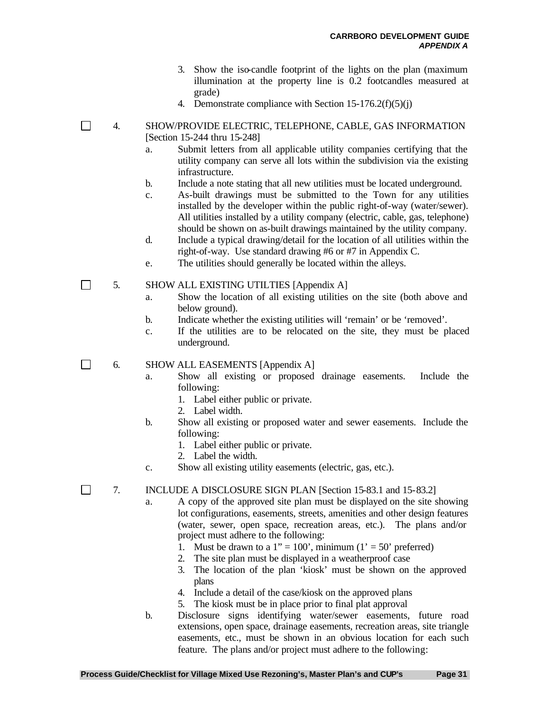- 3. Show the iso-candle footprint of the lights on the plan (maximum illumination at the property line is 0.2 footcandles measured at grade)
- 4. Demonstrate compliance with Section  $15-176.2(f)(5)(j)$
- 4. SHOW/PROVIDE ELECTRIC, TELEPHONE, CABLE, GAS INFORMATION [Section 15-244 thru 15-248]
	- a. Submit letters from all applicable utility companies certifying that the utility company can serve all lots within the subdivision via the existing infrastructure.
	- b. Include a note stating that all new utilities must be located underground.
	- c. As-built drawings must be submitted to the Town for any utilities installed by the developer within the public right-of-way (water/sewer). All utilities installed by a utility company (electric, cable, gas, telephone) should be shown on as-built drawings maintained by the utility company.
	- d. Include a typical drawing/detail for the location of all utilities within the right-of-way. Use standard drawing #6 or #7 in Appendix C.
	- e. The utilities should generally be located within the alleys.
- $\Box$ 5. SHOW ALL EXISTING UTILTIES [Appendix A]
	- a. Show the location of all existing utilities on the site (both above and below ground).
	- b. Indicate whether the existing utilities will 'remain' or be 'removed'.
	- c. If the utilities are to be relocated on the site, they must be placed underground.

6. SHOW ALL EASEMENTS [Appendix A]

 $\Box$ 

 $\Box$ 

 $\Box$ 

- a. Show all existing or proposed drainage easements. Include the following:
	- 1. Label either public or private.
	- 2. Label width.
- b. Show all existing or proposed water and sewer easements. Include the following:
	- 1. Label either public or private.
	- 2. Label the width.
- c. Show all existing utility easements (electric, gas, etc.).

7. INCLUDE A DISCLOSURE SIGN PLAN [Section 15-83.1 and 15-83.2]

- a. A copy of the approved site plan must be displayed on the site showing lot configurations, easements, streets, amenities and other design features (water, sewer, open space, recreation areas, etc.). The plans and/or project must adhere to the following:
	- 1. Must be drawn to a  $1'' = 100'$ , minimum  $(1' = 50'$  preferred)
	- 2. The site plan must be displayed in a weatherproof case
	- 3. The location of the plan 'kiosk' must be shown on the approved plans
	- 4. Include a detail of the case/kiosk on the approved plans
	- 5. The kiosk must be in place prior to final plat approval
- b. Disclosure signs identifying water/sewer easements, future road extensions, open space, drainage easements, recreation areas, site triangle easements, etc., must be shown in an obvious location for each such feature. The plans and/or project must adhere to the following:

**Process Guide/Checklist for Village Mixed Use Rezoning's, Master Plan's and CUP's Page 31**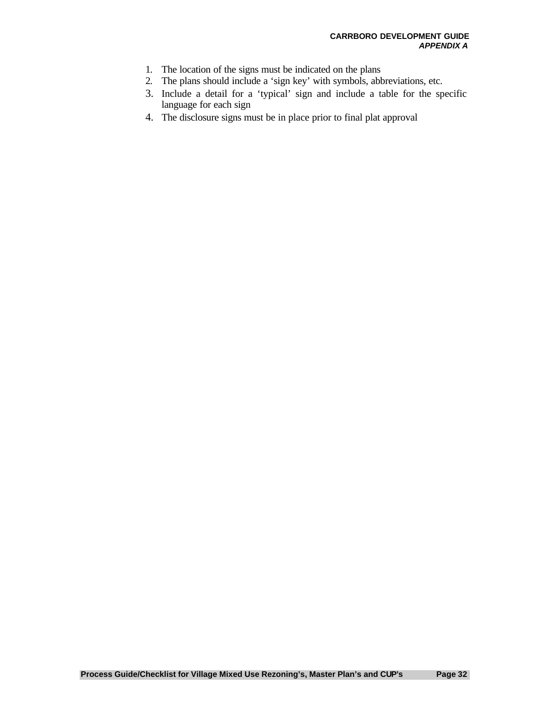- 1. The location of the signs must be indicated on the plans
- 2. The plans should include a 'sign key' with symbols, abbreviations, etc.
- 3. Include a detail for a 'typical' sign and include a table for the specific language for each sign
- 4. The disclosure signs must be in place prior to final plat approval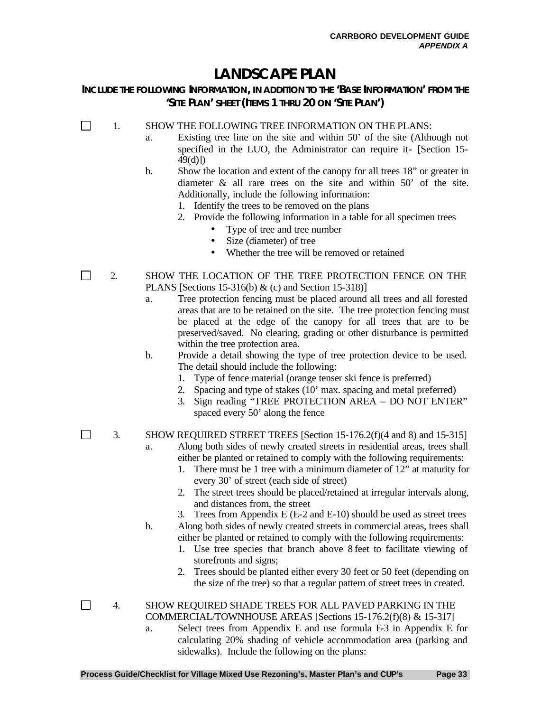## **LANDSCAPE PLAN**

#### **INCLUDE THE FOLLOWING INFORMATION, IN ADDITION TO THE 'BASE INFORMATION' FROM THE 'SITE PLAN' SHEET (ITEMS 1 THRU 20 ON 'SITE PLAN')**

 $\Box$ 1. SHOW THE FOLLOWING TREE INFORMATION ON THE PLANS:

- a. Existing tree line on the site and within 50' of the site (Although not specified in the LUO, the Administrator can require it- [Section 15- 49(d)])
- b. Show the location and extent of the canopy for all trees 18" or greater in diameter & all rare trees on the site and within 50' of the site. Additionally, include the following information:
	- 1. Identify the trees to be removed on the plans
	- 2. Provide the following information in a table for all specimen trees
		- Type of tree and tree number
		- Size (diameter) of tree
		- Whether the tree will be removed or retained
- 2. SHOW THE LOCATION OF THE TREE PROTECTION FENCE ON THE PLANS [Sections 15-316(b) & (c) and Section 15-318)]
	- a. Tree protection fencing must be placed around all trees and all forested areas that are to be retained on the site. The tree protection fencing must be placed at the edge of the canopy for all trees that are to be preserved/saved. No clearing, grading or other disturbance is permitted within the tree protection area.
	- b. Provide a detail showing the type of tree protection device to be used. The detail should include the following:
		- 1. Type of fence material (orange tenser ski fence is preferred)
		- 2. Spacing and type of stakes (10' max. spacing and metal preferred)
		- 3. Sign reading "TREE PROTECTION AREA DO NOT ENTER" spaced every 50' along the fence

3. SHOW REQUIRED STREET TREES [Section 15-176.2(f)(4 and 8) and 15-315] a. Along both sides of newly created streets in residential areas, trees shall

- either be planted or retained to comply with the following requirements:
	- 1. There must be 1 tree with a minimum diameter of 12" at maturity for every 30' of street (each side of street)
	- 2. The street trees should be placed/retained at irregular intervals along, and distances from, the street
	- 3. Trees from Appendix E (E-2 and E-10) should be used as street trees
- b. Along both sides of newly created streets in commercial areas, trees shall either be planted or retained to comply with the following requirements:
	- 1. Use tree species that branch above 8 feet to facilitate viewing of storefronts and signs;
	- 2. Trees should be planted either every 30 feet or 50 feet (depending on the size of the tree) so that a regular pattern of street trees in created.
- 4. SHOW REQUIRED SHADE TREES FOR ALL PAVED PARKING IN THE COMMERCIAL/TOWNHOUSE AREAS [Sections 15-176.2(f)(8) & 15-317]
	- a. Select trees from Appendix E and use formula E-3 in Appendix E for calculating 20% shading of vehicle accommodation area (parking and sidewalks). Include the following on the plans:

 $\Box$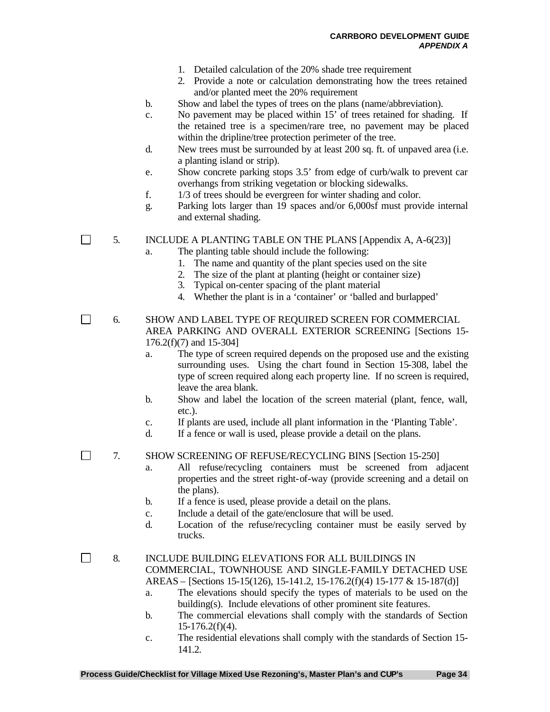- 1. Detailed calculation of the 20% shade tree requirement
- 2. Provide a note or calculation demonstrating how the trees retained and/or planted meet the 20% requirement
- b. Show and label the types of trees on the plans (name/abbreviation).
- c. No pavement may be placed within 15' of trees retained for shading. If the retained tree is a specimen/rare tree, no pavement may be placed within the dripline/tree protection perimeter of the tree.
- d. New trees must be surrounded by at least 200 sq. ft. of unpaved area (i.e. a planting island or strip).
- e. Show concrete parking stops 3.5' from edge of curb/walk to prevent car overhangs from striking vegetation or blocking sidewalks.
- f. 1/3 of trees should be evergreen for winter shading and color.
- g. Parking lots larger than 19 spaces and/or 6,000sf must provide internal and external shading.

 $\Box$ 5. INCLUDE A PLANTING TABLE ON THE PLANS [Appendix A, A-6(23)]

- a. The planting table should include the following:
	- 1. The name and quantity of the plant species used on the site
	- 2. The size of the plant at planting (height or container size)
	- 3. Typical on-center spacing of the plant material
	- 4. Whether the plant is in a 'container' or 'balled and burlapped'

6. SHOW AND LABEL TYPE OF REQUIRED SCREEN FOR COMMERCIAL AREA PARKING AND OVERALL EXTERIOR SCREENING [Sections 15- 176.2(f)(7) and 15-304]

- a. The type of screen required depends on the proposed use and the existing surrounding uses. Using the chart found in Section 15-308, label the type of screen required along each property line. If no screen is required, leave the area blank.
- b. Show and label the location of the screen material (plant, fence, wall, etc.).
- c. If plants are used, include all plant information in the 'Planting Table'.
- d. If a fence or wall is used, please provide a detail on the plans.

7. SHOW SCREENING OF REFUSE/RECYCLING BINS [Section 15-250]

- a. All refuse/recycling containers must be screened from adjacent properties and the street right-of-way (provide screening and a detail on the plans).
- b. If a fence is used, please provide a detail on the plans.
- c. Include a detail of the gate/enclosure that will be used.
- d. Location of the refuse/recycling container must be easily served by trucks.

 $\Box$ 

 $\Box$ 

 $\Box$ 

8. INCLUDE BUILDING ELEVATIONS FOR ALL BUILDINGS IN COMMERCIAL, TOWNHOUSE AND SINGLE-FAMILY DETACHED USE AREAS – [Sections 15-15(126), 15-141.2, 15-176.2(f)(4) 15-177 & 15-187(d)]

- a. The elevations should specify the types of materials to be used on the building(s). Include elevations of other prominent site features.
- b. The commercial elevations shall comply with the standards of Section  $15-176.2(f)(4)$ .
- c. The residential elevations shall comply with the standards of Section 15- 141.2.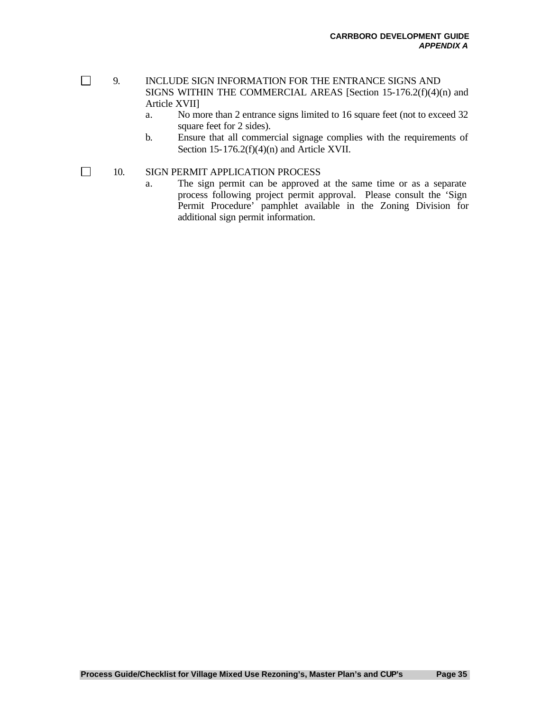$\Box$ 

 $\Box$ 

- 9. INCLUDE SIGN INFORMATION FOR THE ENTRANCE SIGNS AND SIGNS WITHIN THE COMMERCIAL AREAS [Section 15-176.2(f)(4)(n) and Article XVII]
	- a. No more than 2 entrance signs limited to 16 square feet (not to exceed 32 square feet for 2 sides).
	- b. Ensure that all commercial signage complies with the requirements of Section 15-176.2(f)(4)(n) and Article XVII.

#### 10. SIGN PERMIT APPLICATION PROCESS

a. The sign permit can be approved at the same time or as a separate process following project permit approval. Please consult the 'Sign Permit Procedure' pamphlet available in the Zoning Division for additional sign permit information.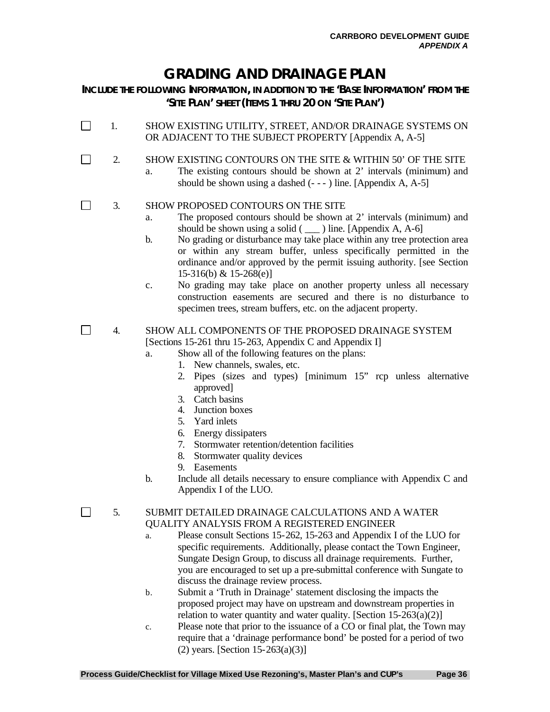# **GRADING AND DRAINAGE PLAN**

**INCLUDE THE FOLLOWING INFORMATION, IN ADDITION TO THE 'BASE INFORMATION' FROM THE 'SITE PLAN' SHEET (ITEMS 1 THRU 20 ON 'SITE PLAN')**

- 1. SHOW EXISTING UTILITY, STREET, AND/OR DRAINAGE SYSTEMS ON OR ADJACENT TO THE SUBJECT PROPERTY [Appendix A, A-5]
	- 2. SHOW EXISTING CONTOURS ON THE SITE & WITHIN 50' OF THE SITE
		- a. The existing contours should be shown at 2' intervals (minimum) and should be shown using a dashed  $(- - )$  line. [Appendix A, A-5]

#### $\Box$ 3. SHOW PROPOSED CONTOURS ON THE SITE

 $\Box$ 

 $\Box$ 

- a. The proposed contours should be shown at 2' intervals (minimum) and should be shown using a solid  $($   $)$  line. [Appendix A, A-6]
- b. No grading or disturbance may take place within any tree protection area or within any stream buffer, unless specifically permitted in the ordinance and/or approved by the permit issuing authority. [see Section 15-316(b) & 15-268(e)]
- c. No grading may take place on another property unless all necessary construction easements are secured and there is no disturbance to specimen trees, stream buffers, etc. on the adjacent property.

#### $\Box$ 4. SHOW ALL COMPONENTS OF THE PROPOSED DRAINAGE SYSTEM [Sections 15-261 thru 15-263, Appendix C and Appendix I]

- a. Show all of the following features on the plans:
	- 1. New channels, swales, etc.
		- 2. Pipes (sizes and types) [minimum 15" rcp unless alternative approved]
		- 3. Catch basins
		- 4. Junction boxes
		- 5. Yard inlets
		- 6. Energy dissipaters
		- 7. Stormwater retention/detention facilities
		- 8. Stormwater quality devices
		- 9. Easements
- b. Include all details necessary to ensure compliance with Appendix C and Appendix I of the LUO.

5. SUBMIT DETAILED DRAINAGE CALCULATIONS AND A WATER QUALITY ANALYSIS FROM A REGISTERED ENGINEER

- a. Please consult Sections 15-262, 15-263 and Appendix I of the LUO for specific requirements. Additionally, please contact the Town Engineer, Sungate Design Group, to discuss all drainage requirements. Further, you are encouraged to set up a pre-submittal conference with Sungate to discuss the drainage review process.
- b. Submit a 'Truth in Drainage' statement disclosing the impacts the proposed project may have on upstream and downstream properties in relation to water quantity and water quality. [Section  $15-263(a)(2)$ ]
- c. Please note that prior to the issuance of a CO or final plat, the Town may require that a 'drainage performance bond' be posted for a period of two (2) years. [Section  $15-263(a)(3)$ ]